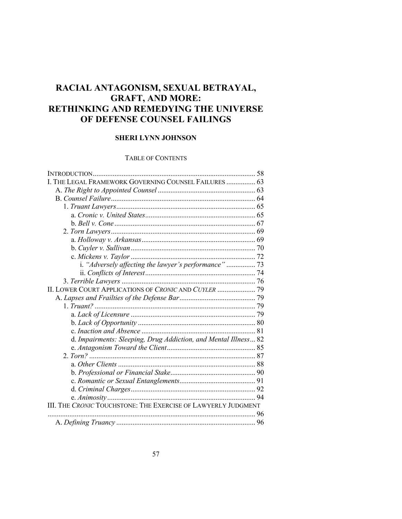# **RACIAL ANTAGONISM, SEXUAL BETRAYAL, GRAFT, AND MORE: RETHINKING AND REMEDYING THE UNIVERSE OF DEFENSE COUNSEL FAILINGS**

# **SHERI LYNN JOHNSON**

# TABLE OF CONTENTS

| INTRODUCTION                                                    | .58 |
|-----------------------------------------------------------------|-----|
| I. THE LEGAL FRAMEWORK GOVERNING COUNSEL FAILURES  63           |     |
|                                                                 |     |
|                                                                 |     |
|                                                                 |     |
|                                                                 |     |
|                                                                 |     |
|                                                                 |     |
|                                                                 |     |
|                                                                 |     |
|                                                                 |     |
|                                                                 |     |
|                                                                 |     |
|                                                                 |     |
| II. LOWER COURT APPLICATIONS OF CRONIC AND CUYLER  79           |     |
|                                                                 |     |
|                                                                 |     |
|                                                                 |     |
|                                                                 |     |
|                                                                 |     |
| d. Impairments: Sleeping, Drug Addiction, and Mental Illness 82 |     |
|                                                                 |     |
|                                                                 |     |
|                                                                 |     |
|                                                                 |     |
|                                                                 |     |
|                                                                 |     |
|                                                                 |     |
| III. THE CRONIC TOUCHSTONE: THE EXERCISE OF LAWYERLY JUDGMENT   |     |
|                                                                 |     |
|                                                                 |     |
|                                                                 |     |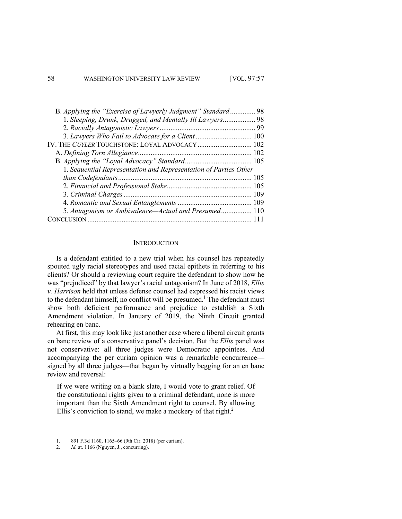| B. Applying the "Exercise of Lawyerly Judgment" Standard 98      |  |
|------------------------------------------------------------------|--|
| 1. Sleeping, Drunk, Drugged, and Mentally Ill Lawyers 98         |  |
|                                                                  |  |
| 3. Lawyers Who Fail to Advocate for a Client  100                |  |
| IV. THE CUYLER TOUCHSTONE: LOYAL ADVOCACY 102                    |  |
|                                                                  |  |
|                                                                  |  |
| 1. Sequential Representation and Representation of Parties Other |  |
|                                                                  |  |
|                                                                  |  |
|                                                                  |  |
|                                                                  |  |
| 5. Antagonism or Ambivalence—Actual and Presumed 110             |  |
|                                                                  |  |

#### **INTRODUCTION**

Is a defendant entitled to a new trial when his counsel has repeatedly spouted ugly racial stereotypes and used racial epithets in referring to his clients? Or should a reviewing court require the defendant to show how he was "prejudiced" by that lawyer's racial antagonism? In June of 2018, *Ellis v. Harrison* held that unless defense counsel had expressed his racist views to the defendant himself, no conflict will be presumed.<sup>1</sup> The defendant must show both deficient performance and prejudice to establish a Sixth Amendment violation. In January of 2019, the Ninth Circuit granted rehearing en banc.

At first, this may look like just another case where a liberal circuit grants en banc review of a conservative panel's decision. But the *Ellis* panel was not conservative: all three judges were Democratic appointees. And accompanying the per curiam opinion was a remarkable concurrence signed by all three judges—that began by virtually begging for an en banc review and reversal:

If we were writing on a blank slate, I would vote to grant relief. Of the constitutional rights given to a criminal defendant, none is more important than the Sixth Amendment right to counsel. By allowing Ellis's conviction to stand, we make a mockery of that right.<sup>2</sup>

<sup>1.</sup> 891 F.3d 1160, 1165–66 (9th Cir. 2018) (per curiam).

<sup>2.</sup> *Id.* at. 1166 (Nguyen, J., concurring).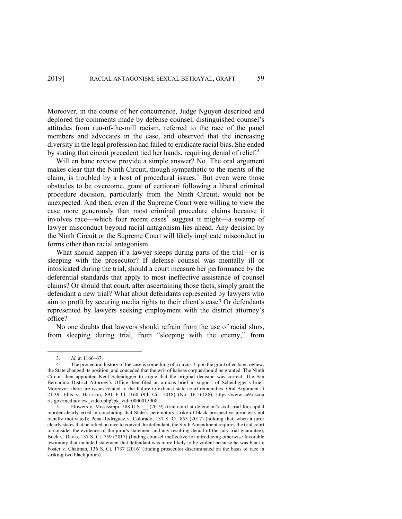Moreover, in the course of her concurrence, Judge Nguyen described and deplored the comments made by defense counsel, distinguished counsel's attitudes from run-of-the-mill racism, referred to the race of the panel members and advocates in the case, and observed that the increasing diversity in the legal profession had failed to eradicate racial bias. She ended by stating that circuit precedent tied her hands, requiring denial of relief.<sup>3</sup>

Will en banc review provide a simple answer? No. The oral argument makes clear that the Ninth Circuit, though sympathetic to the merits of the claim, is troubled by a host of procedural issues.<sup>4</sup> But even were those obstacles to be overcome, grant of certiorari following a liberal criminal procedure decision, particularly from the Ninth Circuit, would not be unexpected. And then, even if the Supreme Court were willing to view the case more generously than most criminal procedure claims because it involves race—which four recent cases<sup>5</sup> suggest it might—a swamp of lawyer misconduct beyond racial antagonism lies ahead. Any decision by the Ninth Circuit or the Supreme Court will likely implicate misconduct in forms other than racial antagonism.

What should happen if a lawyer sleeps during parts of the trial—or is sleeping with the prosecutor? If defense counsel was mentally ill or intoxicated during the trial, should a court measure her performance by the deferential standards that apply to most ineffective assistance of counsel claims? Or should that court, after ascertaining those facts, simply grant the defendant a new trial? What about defendants represented by lawyers who aim to profit by securing media rights to their client's case? Or defendants represented by lawyers seeking employment with the district attorney's office?

No one doubts that lawyers should refrain from the use of racial slurs, from sleeping during trial, from "sleeping with the enemy," from

<sup>3.</sup> *Id.* at 1166–67.

<sup>4.</sup> The procedural history of the case is something of a circus. Upon the grant of en banc review, the State changed its position, and conceded that the writ of habeas corpus should be granted. The Ninth Circuit then appointed Kent Scheidigger to argue that the original decision was correct. The San Bernadino District Attorney's Office then filed an amicus brief in support of Scheidigger's brief. Moreover, there are issues related to the failure to exhaust state court rememdies. Oral Argument at 21:39, Ellis v. Harrison, 891 F.3d 1160 (9th Cir. 2018) (No. 16-56188), https://www.ca9.uscou rts.gov/media/view\_video.php?pk\_vid=0000015908.

<sup>5.</sup> Flowers v. Mississippi, 588 U.S. \_\_ (2019) (trial court at defendant's sixth trial for capital murder clearly erred in concluding that State's peremptory strike of black prospective juror was not racially motivated); Pena-Rodriguez v. Colorado, 137 S. Ct. 855 (2017) (holding that, when a juror clearly states that he relied on race to convict the defendant, the Sixth Amendment requires the trial court to consider the evidence of the juror's statement and any resulting denial of the jury trial guarantee); Buck v. Davis, 137 S. Ct. 759 (2017) (finding counsel ineffective for introducing otherwise favorable testimony that included statement that defendant was more likely to be violent because he was black); Foster v. Chatman, 136 S. Ct. 1737 (2016) (finding prosecutor discriminated on the basis of race in striking two black jurors).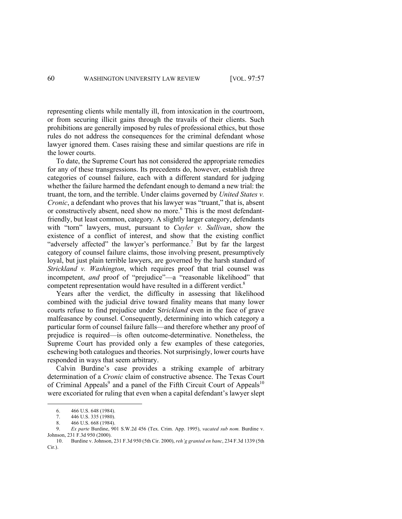representing clients while mentally ill, from intoxication in the courtroom, or from securing illicit gains through the travails of their clients. Such prohibitions are generally imposed by rules of professional ethics, but those rules do not address the consequences for the criminal defendant whose lawyer ignored them. Cases raising these and similar questions are rife in the lower courts.

To date, the Supreme Court has not considered the appropriate remedies for any of these transgressions. Its precedents do, however, establish three categories of counsel failure, each with a different standard for judging whether the failure harmed the defendant enough to demand a new trial: the truant, the torn, and the terrible. Under claims governed by *United States v. Cronic*, a defendant who proves that his lawyer was "truant," that is, absent or constructively absent, need show no more.<sup>6</sup> This is the most defendantfriendly, but least common, category. A slightly larger category, defendants with "torn" lawyers, must, pursuant to *Cuyler v. Sullivan*, show the existence of a conflict of interest, and show that the existing conflict "adversely affected" the lawyer's performance.<sup>7</sup> But by far the largest category of counsel failure claims, those involving present, presumptively loyal, but just plain terrible lawyers, are governed by the harsh standard of *Strickland v. Washington*, which requires proof that trial counsel was incompetent, *and* proof of "prejudice"—a "reasonable likelihood" that competent representation would have resulted in a different verdict.<sup>8</sup>

Years after the verdict, the difficulty in assessing that likelihood combined with the judicial drive toward finality means that many lower courts refuse to find prejudice under S*trickland* even in the face of grave malfeasance by counsel. Consequently, determining into which category a particular form of counsel failure falls—and therefore whether any proof of prejudice is required—is often outcome-determinative. Nonetheless, the Supreme Court has provided only a few examples of these categories, eschewing both catalogues and theories. Not surprisingly, lower courts have responded in ways that seem arbitrary.

Calvin Burdine's case provides a striking example of arbitrary determination of a *Cronic* claim of constructive absence. The Texas Court of Criminal Appeals<sup>9</sup> and a panel of the Fifth Circuit Court of Appeals<sup>10</sup> were excoriated for ruling that even when a capital defendant's lawyer slept

<sup>6.</sup> 466 U.S. 648 (1984).

<sup>7.</sup> 446 U.S. 335 (1980).

<sup>8.</sup> 466 U.S. 668 (1984).

<sup>9.</sup> *Ex parte* Burdine, 901 S.W.2d 456 (Tex. Crim. App. 1995), *vacated sub nom.* Burdine v. Johnson, 231 F.3d 950 (2000).

<sup>10.</sup> Burdine v. Johnson, 231 F.3d 950 (5th Cir. 2000), *reh'g granted en banc*, 234 F.3d 1339 (5th Cir.).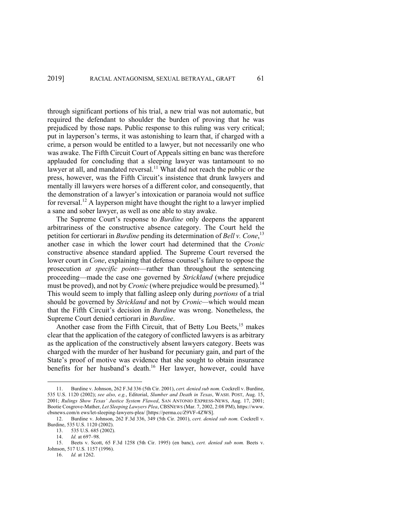through significant portions of his trial, a new trial was not automatic, but required the defendant to shoulder the burden of proving that he was prejudiced by those naps. Public response to this ruling was very critical; put in layperson's terms, it was astonishing to learn that, if charged with a crime, a person would be entitled to a lawyer, but not necessarily one who was awake. The Fifth Circuit Court of Appeals sitting en banc was therefore applauded for concluding that a sleeping lawyer was tantamount to no lawyer at all, and mandated reversal.<sup>11</sup> What did not reach the public or the press, however, was the Fifth Circuit's insistence that drunk lawyers and mentally ill lawyers were horses of a different color, and consequently, that the demonstration of a lawyer's intoxication or paranoia would not suffice for reversal.<sup>12</sup> A layperson might have thought the right to a lawyer implied a sane and sober lawyer, as well as one able to stay awake.

The Supreme Court's response to *Burdine* only deepens the apparent arbitrariness of the constructive absence category. The Court held the petition for certiorari in *Burdine* pending its determination of *Bell v. Cone*, 13 another case in which the lower court had determined that the *Cronic* constructive absence standard applied. The Supreme Court reversed the lower court in *Cone*, explaining that defense counsel's failure to oppose the prosecution *at specific points*—rather than throughout the sentencing proceeding—made the case one governed by *Strickland* (where prejudice must be proved), and not by *Cronic* (where prejudice would be presumed).<sup>14</sup> This would seem to imply that falling asleep only during *portions* of a trial should be governed by *Strickland* and not by *Cronic—*which would mean that the Fifth Circuit's decision in *Burdine* was wrong. Nonetheless, the Supreme Court denied certiorari in *Burdine*.

Another case from the Fifth Circuit, that of Betty Lou Beets,<sup>15</sup> makes clear that the application of the category of conflicted lawyers is as arbitrary as the application of the constructively absent lawyers category. Beets was charged with the murder of her husband for pecuniary gain, and part of the State's proof of motive was evidence that she sought to obtain insurance benefits for her husband's death.<sup>16</sup> Her lawyer, however, could have

<sup>11.</sup> Burdine v. Johnson, 262 F.3d 336 (5th Cir. 2001), *cert. denied sub nom.* Cockrell v. Burdine, 535 U.S. 1120 (2002); *see also, e.g.*, Editorial, *Slumber and Death in Texas*, WASH. POST, Aug. 15, 2001; *Rulings Show Texas' Justice System Flawed*, SAN ANTONIO EXPRESS-NEWS, Aug. 17, 2001; Bootie Cosgrove-Mather, *Let Sleeping Lawyers Plea*, CBSNEWS (Mar. 7, 2002, 2:08 PM), https://www. cbsnews.com/n ews/let-sleeping-lawyers-plea/ [https://perma.cc/Z9VF-4ZWS].

<sup>12.</sup> Burdine v. Johnson, 262 F.3d 336, 349 (5th Cir. 2001), *cert. denied sub nom.* Cockrell v. Burdine, 535 U.S. 1120 (2002).

<sup>13.</sup> 535 U.S. 685 (2002).

<sup>14.</sup> *Id.* at 697–98.

<sup>15.</sup> Beets v. Scott, 65 F.3d 1258 (5th Cir. 1995) (en banc), *cert. denied sub nom.* Beets v. Johnson, 517 U.S. 1157 (1996).

<sup>16.</sup> *Id.* at 1262.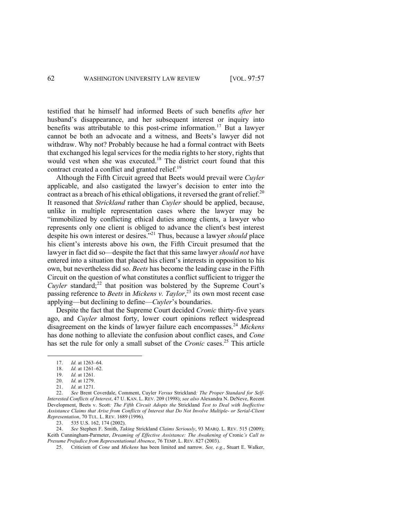testified that he himself had informed Beets of such benefits *after* her husband's disappearance, and her subsequent interest or inquiry into benefits was attributable to this post-crime information.17 But a lawyer cannot be both an advocate and a witness, and Beets's lawyer did not withdraw. Why not? Probably because he had a formal contract with Beets that exchanged his legal services for the media rights to her story, rights that would vest when she was executed.<sup>18</sup> The district court found that this contract created a conflict and granted relief.<sup>19</sup>

Although the Fifth Circuit agreed that Beets would prevail were *Cuyler* applicable, and also castigated the lawyer's decision to enter into the contract as a breach of his ethical obligations, it reversed the grant of relief.<sup>20</sup> It reasoned that *Strickland* rather than *Cuyler* should be applied, because, unlike in multiple representation cases where the lawyer may be "immobilized by conflicting ethical duties among clients, a lawyer who represents only one client is obliged to advance the client's best interest despite his own interest or desires."21 Thus, because a lawyer *should* place his client's interests above his own, the Fifth Circuit presumed that the lawyer in fact did so—despite the fact that this same lawyer *should not* have entered into a situation that placed his client's interests in opposition to his own, but nevertheless did so. *Beets* has become the leading case in the Fifth Circuit on the question of what constitutes a conflict sufficient to trigger the *Cuyler* standard;<sup>22</sup> that position was bolstered by the Supreme Court's passing reference to *Beets* in *Mickens v. Taylor*, <sup>23</sup> its own most recent case applying—but declining to define—*Cuyler*'s boundaries.

Despite the fact that the Supreme Court decided *Cronic* thirty-five years ago, and *Cuyler* almost forty, lower court opinions reflect widespread disagreement on the kinds of lawyer failure each encompasses.24 *Mickens* has done nothing to alleviate the confusion about conflict cases, and *Cone* has set the rule for only a small subset of the *Cronic* cases.<sup>25</sup> This article

23. 535 U.S. 162, 174 (2002).

24. *See* Stephen F. Smith, *Taking* Strickland *Claims Seriously*, 93 MARQ. L. REV. 515 (2009); Keith Cunningham-Parmeter, *Dreaming of Effective Assistance: The Awakening of* Cronic*'s Call to Presume Prejudice from Representational Absence*, 76 TEMP. L. REV. 827 (2003).

25. Criticism of *Cone* and *Mickens* has been limited and narrow. *See, e.g.*, Stuart E. Walker,

<sup>17.</sup> *Id.* at 1263–64.

<sup>18.</sup> *Id.* at 1261–62.

<sup>19.</sup> *Id.* at 1261.

<sup>20.</sup> *Id.* at 1279.

<sup>21.</sup> *Id.* at 1271.

<sup>22.</sup> *See* Brent Coverdale, Comment, Cuyler *Versus* Strickland*: The Proper Standard for Self-Interested Conflicts of Interest*, 47 U. KAN. L. REV. 209 (1998); *see also* Alexandra N. DeNeve, Recent Development, Beets v. Scott*: The Fifth Circuit Adopts the* Strickland *Test to Deal with Ineffective Assistance Claims that Arise from Conflicts of Interest that Do Not Involve Multiple- or Serial-Client Representation*, 70 TUL. L. REV. 1689 (1996).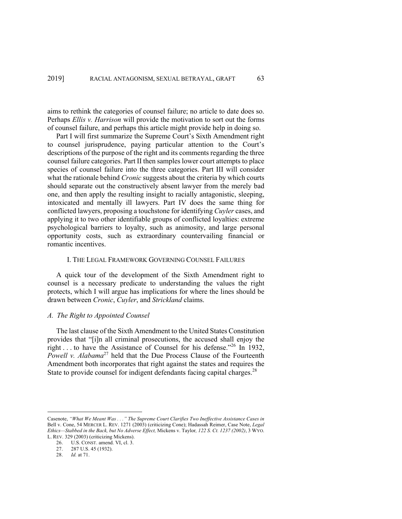aims to rethink the categories of counsel failure; no article to date does so. Perhaps *Ellis v. Harrison* will provide the motivation to sort out the forms of counsel failure, and perhaps this article might provide help in doing so.

Part I will first summarize the Supreme Court's Sixth Amendment right to counsel jurisprudence, paying particular attention to the Court's descriptions of the purpose of the right and its comments regarding the three counsel failure categories. Part II then samples lower court attempts to place species of counsel failure into the three categories. Part III will consider what the rationale behind *Cronic* suggests about the criteria by which courts should separate out the constructively absent lawyer from the merely bad one, and then apply the resulting insight to racially antagonistic, sleeping, intoxicated and mentally ill lawyers. Part IV does the same thing for conflicted lawyers, proposing a touchstone for identifying *Cuyler* cases, and applying it to two other identifiable groups of conflicted loyalties: extreme psychological barriers to loyalty, such as animosity, and large personal opportunity costs, such as extraordinary countervailing financial or romantic incentives.

### I. THE LEGAL FRAMEWORK GOVERNING COUNSEL FAILURES

A quick tour of the development of the Sixth Amendment right to counsel is a necessary predicate to understanding the values the right protects, which I will argue has implications for where the lines should be drawn between *Cronic*, *Cuyler*, and *Strickland* claims.

# *A. The Right to Appointed Counsel*

The last clause of the Sixth Amendment to the United States Constitution provides that "[i]n all criminal prosecutions, the accused shall enjoy the right . . . to have the Assistance of Counsel for his defense."<sup>26</sup> In 1932, *Powell v. Alabama*<sup>27</sup> held that the Due Process Clause of the Fourteenth Amendment both incorporates that right against the states and requires the State to provide counsel for indigent defendants facing capital charges.<sup>28</sup>

Casenote, *"What We Meant Was . . ." The Supreme Court Clarifies Two Ineffective Assistance Cases in*  Bell v. Cone, 54 MERCER L. REV. 1271 (2003) (criticizing Cone); Hadassah Reimer, Case Note, *Legal Ethics—Stabbed in the Back, but No Adverse Effect,* Mickens v. Taylor*, 122 S. Ct. 1237 (2002)*, 3 WYO. L. REV. 329 (2003) (criticizing Mickens).

<sup>26.</sup> U.S. CONST. amend. VI, cl. 3.

<sup>27.</sup> 287 U.S. 45 (1932).

<sup>28.</sup> *Id.* at 71.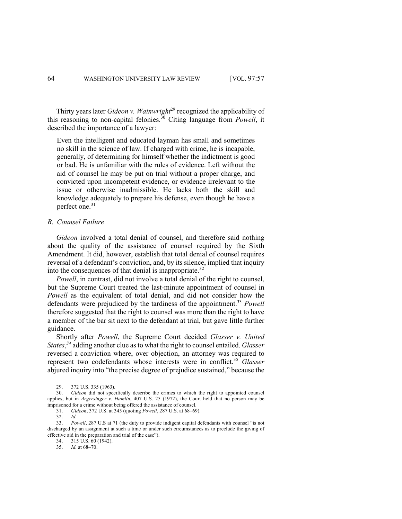Thirty years later *Gideon v. Wainwright*<sup>29</sup> recognized the applicability of this reasoning to non-capital felonies. <sup>30</sup> Citing language from *Powell*, it described the importance of a lawyer:

Even the intelligent and educated layman has small and sometimes no skill in the science of law. If charged with crime, he is incapable, generally, of determining for himself whether the indictment is good or bad. He is unfamiliar with the rules of evidence. Left without the aid of counsel he may be put on trial without a proper charge, and convicted upon incompetent evidence, or evidence irrelevant to the issue or otherwise inadmissible. He lacks both the skill and knowledge adequately to prepare his defense, even though he have a perfect one.<sup>31</sup>

### *B. Counsel Failure*

*Gideon* involved a total denial of counsel, and therefore said nothing about the quality of the assistance of counsel required by the Sixth Amendment. It did, however, establish that total denial of counsel requires reversal of a defendant's conviction, and, by its silence, implied that inquiry into the consequences of that denial is inappropriate. $32$ 

*Powell*, in contrast, did not involve a total denial of the right to counsel, but the Supreme Court treated the last-minute appointment of counsel in *Powell* as the equivalent of total denial, and did not consider how the defendants were prejudiced by the tardiness of the appointment.<sup>33</sup> *Powell* therefore suggested that the right to counsel was more than the right to have a member of the bar sit next to the defendant at trial, but gave little further guidance.

Shortly after *Powell*, the Supreme Court decided *Glasser v. United States*, *<sup>34</sup>* adding another clue as to what the right to counsel entailed. *Glasser* reversed a conviction where, over objection, an attorney was required to represent two codefendants whose interests were in conflict.<sup>35</sup> *Glasser* abjured inquiry into "the precise degree of prejudice sustained," because the

32. *Id.*

<sup>29.</sup> 372 U.S. 335 (1963).

<sup>30.</sup> *Gideon* did not specifically describe the crimes to which the right to appointed counsel applies, but in *Argersinger v. Hamlin*, 407 U.S. 25 (1972), the Court held that no person may be imprisoned for a crime without being offered the assistance of counsel.

<sup>31.</sup> *Gideon*, 372 U.S. at 345 (quoting *Powell*, 287 U.S. at 68–69).

<sup>33.</sup> *Powell*, 287 U.S at 71 (the duty to provide indigent capital defendants with counsel "is not discharged by an assignment at such a time or under such circumstances as to preclude the giving of effective aid in the preparation and trial of the case").

<sup>34. 315</sup> U.S. 60 (1942).<br>35. *Id* at 68–70.

<sup>35.</sup> *Id.* at 68–70.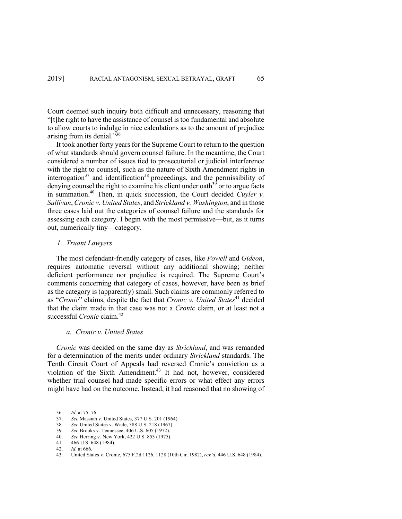Court deemed such inquiry both difficult and unnecessary, reasoning that "[t]he right to have the assistance of counsel is too fundamental and absolute to allow courts to indulge in nice calculations as to the amount of prejudice arising from its denial."<sup>36</sup>

It took another forty years for the Supreme Court to return to the question of what standards should govern counsel failure. In the meantime, the Court considered a number of issues tied to prosecutorial or judicial interference with the right to counsel, such as the nature of Sixth Amendment rights in interrogation $37$  and identification  $38$  proceedings, and the permissibility of denying counsel the right to examine his client under oath<sup>39</sup> or to argue facts in summation.40 Then, in quick succession, the Court decided *Cuyler v. Sullivan*, *Cronic v. United States*, and *Strickland v. Washington*, and in those three cases laid out the categories of counsel failure and the standards for assessing each category. I begin with the most permissive—but, as it turns out, numerically tiny—category.

# *1. Truant Lawyers*

The most defendant-friendly category of cases, like *Powell* and *Gideon*, requires automatic reversal without any additional showing; neither deficient performance nor prejudice is required. The Supreme Court's comments concerning that category of cases, however, have been as brief as the category is (apparently) small. Such claims are commonly referred to as "*Cronic*" claims, despite the fact that *Cronic v. United States*<sup>41</sup> decided that the claim made in that case was not a *Cronic* claim, or at least not a successful *Cronic* claim.<sup>42</sup>

# *a. Cronic v. United States*

*Cronic* was decided on the same day as *Strickland*, and was remanded for a determination of the merits under ordinary *Strickland* standards. The Tenth Circuit Court of Appeals had reversed Cronic's conviction as a violation of the Sixth Amendment.<sup>43</sup> It had not, however, considered whether trial counsel had made specific errors or what effect any errors might have had on the outcome. Instead, it had reasoned that no showing of

<sup>36.</sup> *Id.* at 75–76.

<sup>37.</sup> *See* Massiah v. United States, 377 U.S. 201 (1964).

<sup>38.</sup> *See* United States v. Wade, 388 U.S. 218 (1967).

<sup>39.</sup> *See* Brooks v. Tennessee, 406 U.S. 605 (1972).

<sup>40.</sup> *See* Herring v. New York, 422 U.S. 853 (1975).

<sup>41.</sup> 466 U.S. 648 (1984).

<sup>42.</sup> *Id.* at 666.

<sup>43.</sup> United States v. Cronic, 675 F.2d 1126, 1128 (10th Cir. 1982), *rev'd*, 446 U.S. 648 (1984).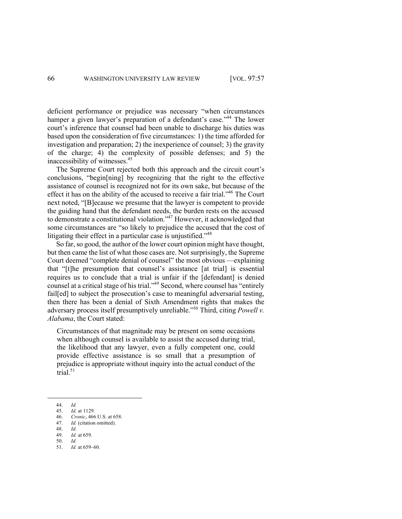deficient performance or prejudice was necessary "when circumstances hamper a given lawyer's preparation of a defendant's case."<sup>44</sup> The lower court's inference that counsel had been unable to discharge his duties was based upon the consideration of five circumstances: 1) the time afforded for investigation and preparation; 2) the inexperience of counsel; 3) the gravity of the charge; 4) the complexity of possible defenses; and 5) the inaccessibility of witnesses.45

The Supreme Court rejected both this approach and the circuit court's conclusions, "begin[ning] by recognizing that the right to the effective assistance of counsel is recognized not for its own sake, but because of the effect it has on the ability of the accused to receive a fair trial."<sup>46</sup> The Court next noted, "[B]ecause we presume that the lawyer is competent to provide the guiding hand that the defendant needs, the burden rests on the accused to demonstrate a constitutional violation."47 However, it acknowledged that some circumstances are "so likely to prejudice the accused that the cost of litigating their effect in a particular case is unjustified."<sup>48</sup>

So far, so good, the author of the lower court opinion might have thought, but then came the list of what those cases are. Not surprisingly, the Supreme Court deemed "complete denial of counsel" the most obvious —explaining that "[t]he presumption that counsel's assistance [at trial] is essential requires us to conclude that a trial is unfair if the [defendant] is denied counsel at a critical stage of his trial."49 Second, where counsel has "entirely fail[ed] to subject the prosecution's case to meaningful adversarial testing, then there has been a denial of Sixth Amendment rights that makes the adversary process itself presumptively unreliable."50 Third, citing *Powell v. Alabama*, the Court stated:

Circumstances of that magnitude may be present on some occasions when although counsel is available to assist the accused during trial, the likelihood that any lawyer, even a fully competent one, could provide effective assistance is so small that a presumption of prejudice is appropriate without inquiry into the actual conduct of the trial. $51$ 

51. *Id.* at 659–60.

<sup>44.</sup> *Id.*

<sup>45.</sup> *Id.* at 1129.

<sup>46.</sup> *Cronic*, 466 U.S. at 658.

<sup>47.</sup> *Id.* (citation omitted).

<sup>48.</sup> *Id.*

<sup>49.</sup> *Id.* at 659. 50. *Id.*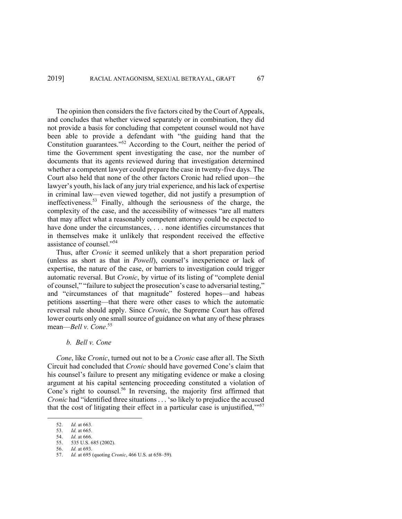The opinion then considers the five factors cited by the Court of Appeals, and concludes that whether viewed separately or in combination, they did not provide a basis for concluding that competent counsel would not have been able to provide a defendant with "the guiding hand that the Constitution guarantees."52 According to the Court, neither the period of time the Government spent investigating the case, nor the number of documents that its agents reviewed during that investigation determined whether a competent lawyer could prepare the case in twenty-five days. The Court also held that none of the other factors Cronic had relied upon—the lawyer's youth, his lack of any jury trial experience, and his lack of expertise in criminal law—even viewed together, did not justify a presumption of ineffectiveness.53 Finally, although the seriousness of the charge, the complexity of the case, and the accessibility of witnesses "are all matters that may affect what a reasonably competent attorney could be expected to have done under the circumstances, . . . none identifies circumstances that in themselves make it unlikely that respondent received the effective assistance of counsel."54

Thus, after *Cronic* it seemed unlikely that a short preparation period (unless as short as that in *Powell*), counsel's inexperience or lack of expertise, the nature of the case, or barriers to investigation could trigger automatic reversal. But *Cronic*, by virtue of its listing of "complete denial of counsel," "failure to subject the prosecution's case to adversarial testing," and "circumstances of that magnitude" fostered hopes—and habeas petitions asserting—that there were other cases to which the automatic reversal rule should apply. Since *Cronic*, the Supreme Court has offered lower courts only one small source of guidance on what any of these phrases mean—*Bell v. Cone*. 55

### *b. Bell v. Cone*

*Cone*, like *Cronic*, turned out not to be a *Cronic* case after all. The Sixth Circuit had concluded that *Cronic* should have governed Cone's claim that his counsel's failure to present any mitigating evidence or make a closing argument at his capital sentencing proceeding constituted a violation of Cone's right to counsel.<sup>56</sup> In reversing, the majority first affirmed that *Cronic* had "identified three situations... 'so likely to prejudice the accused that the cost of litigating their effect in a particular case is unjustified,""<sup>57</sup>

<sup>52.</sup> *Id.* at 663.

<sup>53.</sup> *Id.* at 665.

<sup>54.</sup> *Id.* at 666.

<sup>55.</sup> 535 U.S. 685 (2002).

<sup>56.</sup> *Id.* at 693.

<sup>57.</sup> *Id.* at 695 (quoting *Cronic*, 466 U.S. at 658–59).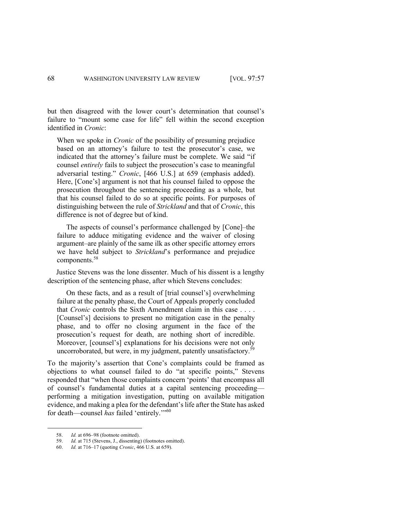but then disagreed with the lower court's determination that counsel's failure to "mount some case for life" fell within the second exception identified in *Cronic*:

When we spoke in *Cronic* of the possibility of presuming prejudice based on an attorney's failure to test the prosecutor's case, we indicated that the attorney's failure must be complete. We said "if counsel *entirely* fails to subject the prosecution's case to meaningful adversarial testing." *Cronic*, [466 U.S.] at 659 (emphasis added). Here, [Cone's] argument is not that his counsel failed to oppose the prosecution throughout the sentencing proceeding as a whole, but that his counsel failed to do so at specific points. For purposes of distinguishing between the rule of *Strickland* and that of *Cronic*, this difference is not of degree but of kind.

The aspects of counsel's performance challenged by [Cone]–the failure to adduce mitigating evidence and the waiver of closing argument–are plainly of the same ilk as other specific attorney errors we have held subject to *Strickland*'s performance and prejudice components.58

Justice Stevens was the lone dissenter. Much of his dissent is a lengthy description of the sentencing phase, after which Stevens concludes:

On these facts, and as a result of [trial counsel's] overwhelming failure at the penalty phase, the Court of Appeals properly concluded that *Cronic* controls the Sixth Amendment claim in this case . . . . [Counsel's] decisions to present no mitigation case in the penalty phase, and to offer no closing argument in the face of the prosecution's request for death, are nothing short of incredible. Moreover, [counsel's] explanations for his decisions were not only uncorroborated, but were, in my judgment, patently unsatisfactory.<sup>59</sup>

To the majority's assertion that Cone's complaints could be framed as objections to what counsel failed to do "at specific points," Stevens responded that "when those complaints concern 'points' that encompass all of counsel's fundamental duties at a capital sentencing proceeding performing a mitigation investigation, putting on available mitigation evidence, and making a plea for the defendant's life after the State has asked for death—counsel has failed 'entirely."<sup>60</sup>

<sup>58.</sup> *Id.* at 696–98 (footnote omitted).

<sup>59.</sup> *Id.* at 715 (Stevens, J., dissenting) (footnotes omitted).

<sup>60.</sup> *Id.* at 716–17 (quoting *Cronic*, 466 U.S. at 659).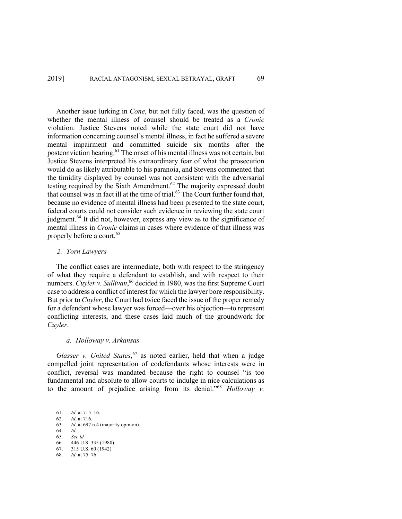Another issue lurking in *Cone*, but not fully faced, was the question of whether the mental illness of counsel should be treated as a *Cronic*  violation. Justice Stevens noted while the state court did not have information concerning counsel's mental illness, in fact he suffered a severe mental impairment and committed suicide six months after the postconviction hearing.<sup>61</sup> The onset of his mental illness was not certain, but Justice Stevens interpreted his extraordinary fear of what the prosecution would do as likely attributable to his paranoia, and Stevens commented that the timidity displayed by counsel was not consistent with the adversarial testing required by the Sixth Amendment. $62$  The majority expressed doubt that counsel was in fact ill at the time of trial. $63$  The Court further found that, because no evidence of mental illness had been presented to the state court, federal courts could not consider such evidence in reviewing the state court judgment.<sup>64</sup> It did not, however, express any view as to the significance of mental illness in *Cronic* claims in cases where evidence of that illness was properly before a court.<sup>65</sup>

### *2. Torn Lawyers*

The conflict cases are intermediate, both with respect to the stringency of what they require a defendant to establish, and with respect to their numbers. *Cuyler v. Sullivan*, <sup>66</sup> decided in 1980, was the first Supreme Court case to address a conflict of interest for which the lawyer bore responsibility. But prior to *Cuyler*, the Court had twice faced the issue of the proper remedy for a defendant whose lawyer was forced—over his objection—to represent conflicting interests, and these cases laid much of the groundwork for *Cuyler*.

# *a. Holloway v. Arkansas*

*Glasser v. United States*, <sup>67</sup> as noted earlier, held that when a judge compelled joint representation of codefendants whose interests were in conflict, reversal was mandated because the right to counsel "is too fundamental and absolute to allow courts to indulge in nice calculations as to the amount of prejudice arising from its denial."68 *Holloway v.* 

64. *Id.*

<sup>61.</sup> *Id.* at 715–16.

<sup>62.</sup> *Id.* at 716.

<sup>63.</sup> *Id.* at 697 n.4 (majority opinion).

<sup>65.</sup> *See id.*

<sup>66.</sup> 446 U.S. 335 (1980). 67. 315 U.S. 60 (1942).

<sup>68.</sup> *Id.* at 75–76.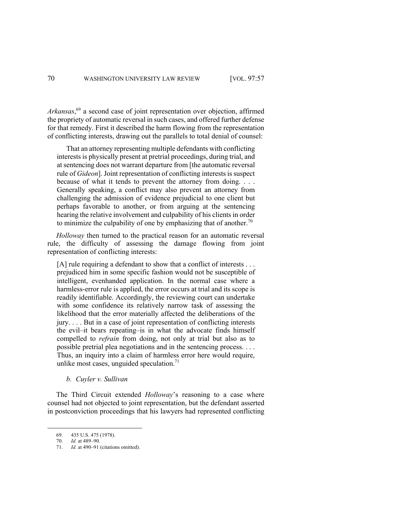*Arkansas*, <sup>69</sup> a second case of joint representation over objection, affirmed the propriety of automatic reversal in such cases, and offered further defense for that remedy. First it described the harm flowing from the representation of conflicting interests, drawing out the parallels to total denial of counsel:

That an attorney representing multiple defendants with conflicting interests is physically present at pretrial proceedings, during trial, and at sentencing does not warrant departure from [the automatic reversal rule of *Gideon*]. Joint representation of conflicting interests is suspect because of what it tends to prevent the attorney from doing. . . . Generally speaking, a conflict may also prevent an attorney from challenging the admission of evidence prejudicial to one client but perhaps favorable to another, or from arguing at the sentencing hearing the relative involvement and culpability of his clients in order to minimize the culpability of one by emphasizing that of another.<sup>70</sup>

*Holloway* then turned to the practical reason for an automatic reversal rule, the difficulty of assessing the damage flowing from joint representation of conflicting interests:

[A] rule requiring a defendant to show that a conflict of interests . . . prejudiced him in some specific fashion would not be susceptible of intelligent, evenhanded application. In the normal case where a harmless-error rule is applied, the error occurs at trial and its scope is readily identifiable. Accordingly, the reviewing court can undertake with some confidence its relatively narrow task of assessing the likelihood that the error materially affected the deliberations of the jury. . . . But in a case of joint representation of conflicting interests the evil–it bears repeating–is in what the advocate finds himself compelled to *refrain* from doing, not only at trial but also as to possible pretrial plea negotiations and in the sentencing process. . . . Thus, an inquiry into a claim of harmless error here would require, unlike most cases, unguided speculation. $71$ 

*b. Cuyler v. Sullivan*

The Third Circuit extended *Holloway*'s reasoning to a case where counsel had not objected to joint representation, but the defendant asserted in postconviction proceedings that his lawyers had represented conflicting

<sup>69.</sup> 435 U.S. 475 (1978).

<sup>70.</sup> *Id.* at 489–90.

Id. at 490–91 (citations omitted).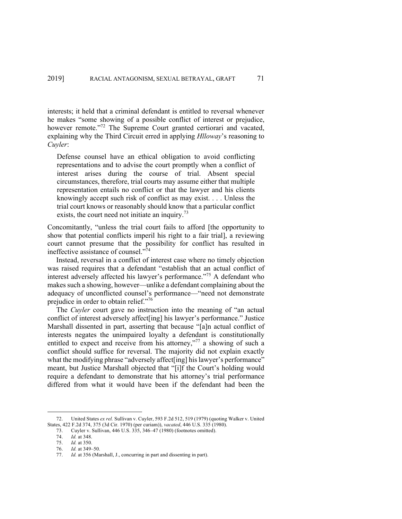interests; it held that a criminal defendant is entitled to reversal whenever he makes "some showing of a possible conflict of interest or prejudice, however remote."<sup>72</sup> The Supreme Court granted certiorari and vacated, explaining why the Third Circuit erred in applying *Hlloway*'s reasoning to *Cuyler*:

Defense counsel have an ethical obligation to avoid conflicting representations and to advise the court promptly when a conflict of interest arises during the course of trial. Absent special circumstances, therefore, trial courts may assume either that multiple representation entails no conflict or that the lawyer and his clients knowingly accept such risk of conflict as may exist. . . . Unless the trial court knows or reasonably should know that a particular conflict exists, the court need not initiate an inquiry.<sup>73</sup>

Concomitantly, "unless the trial court fails to afford [the opportunity to show that potential conflicts imperil his right to a fair trial], a reviewing court cannot presume that the possibility for conflict has resulted in ineffective assistance of counsel. $\mathbf{v}^{\bar{7}4}$ 

Instead, reversal in a conflict of interest case where no timely objection was raised requires that a defendant "establish that an actual conflict of interest adversely affected his lawyer's performance."<sup>75</sup> A defendant who makes such a showing, however—unlike a defendant complaining about the adequacy of unconflicted counsel's performance—"need not demonstrate prejudice in order to obtain relief."76

The *Cuyler* court gave no instruction into the meaning of "an actual conflict of interest adversely affect[ing] his lawyer's performance." Justice Marshall dissented in part, asserting that because "[a]n actual conflict of interests negates the unimpaired loyalty a defendant is constitutionally entitled to expect and receive from his attorney,"<sup>77</sup> a showing of such a conflict should suffice for reversal. The majority did not explain exactly what the modifying phrase "adversely affect[ing] his lawyer's performance" meant, but Justice Marshall objected that "[i]f the Court's holding would require a defendant to demonstrate that his attorney's trial performance differed from what it would have been if the defendant had been the

<sup>72.</sup> United States *ex rel.* Sullivan v. Cuyler, 593 F.2d 512, 519 (1979) (quoting Walker v. United States, 422 F.2d 374, 375 (3d Cir. 1970) (per curiam)), *vacated*, 446 U.S. 335 (1980).

<sup>73.</sup> Cuyler v. Sullivan, 446 U.S. 335, 346–47 (1980) (footnotes omitted).

<sup>74.</sup> *Id.* at 348.

<sup>75.</sup> *Id.* at 350.

<sup>76.</sup> *Id.* at 349–50.

<sup>77.</sup> *Id.* at 356 (Marshall, J., concurring in part and dissenting in part).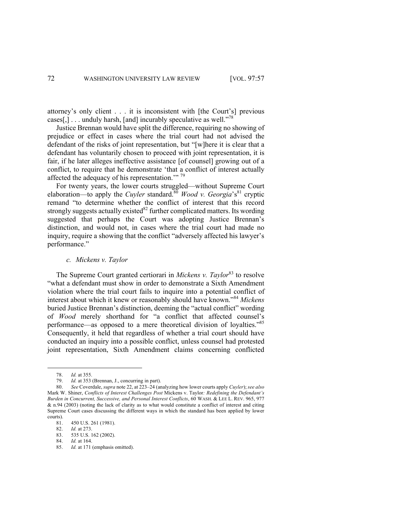attorney's only client . . . it is inconsistent with [the Court's] previous cases[,]  $\ldots$  unduly harsh, [and] incurably speculative as well."<sup>78</sup>

Justice Brennan would have split the difference, requiring no showing of prejudice or effect in cases where the trial court had not advised the defendant of the risks of joint representation, but "[w]here it is clear that a defendant has voluntarily chosen to proceed with joint representation, it is fair, if he later alleges ineffective assistance [of counsel] growing out of a conflict, to require that he demonstrate 'that a conflict of interest actually affected the adequacy of his representation."<sup>79</sup>

For twenty years, the lower courts struggled—without Supreme Court elaboration—to apply the *Cuyler* standard.<sup>80</sup> *Wood v. Georgia*'s<sup>81</sup> cryptic remand "to determine whether the conflict of interest that this record strongly suggests actually existed<sup>82</sup> further complicated matters. Its wording suggested that perhaps the Court was adopting Justice Brennan's distinction, and would not, in cases where the trial court had made no inquiry, require a showing that the conflict "adversely affected his lawyer's performance."

### *c. Mickens v. Taylor*

The Supreme Court granted certiorari in *Mickens v. Taylor*<sup>83</sup> to resolve "what a defendant must show in order to demonstrate a Sixth Amendment violation where the trial court fails to inquire into a potential conflict of interest about which it knew or reasonably should have known."<sup>84</sup> *Mickens*  buried Justice Brennan's distinction, deeming the "actual conflict" wording of *Wood* merely shorthand for "a conflict that affected counsel's performance—as opposed to a mere theoretical division of loyalties."85 Consequently, it held that regardless of whether a trial court should have conducted an inquiry into a possible conflict, unless counsel had protested joint representation, Sixth Amendment claims concerning conflicted

<sup>78.</sup> *Id.* at 355.

<sup>79.</sup> *Id.* at 353 (Brennan, J., concurring in part).

<sup>80.</sup> *See* Coverdale, *supra* note 22, at 223–24 (analyzing how lower courts apply *Cuyler*); *see also* Mark W. Shiner, *Conflicts of Interest Challenges Post* Mickens v. Taylor*: Redefining the Defendant's Burden in Concurrent, Successive, and Personal Interest Conflicts*, 60 WASH. & LEE L. REV. 965, 977 & n.94 (2003) (noting the lack of clarity as to what would constitute a conflict of interest and citing Supreme Court cases discussing the different ways in which the standard has been applied by lower courts).

<sup>81. 450</sup> U.S. 261 (1981).<br>82. Id. at 273.

*Id.* at 273.

<sup>83.</sup> 535 U.S. 162 (2002).

<sup>84.</sup> *Id.* at 164.

<sup>85.</sup> *Id.* at 171 (emphasis omitted).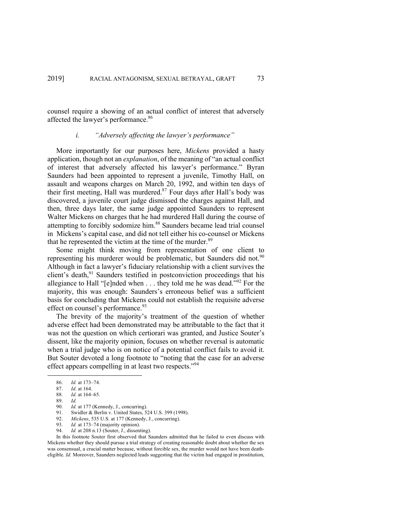counsel require a showing of an actual conflict of interest that adversely affected the lawyer's performance.<sup>86</sup>

# *i. "Adversely affecting the lawyer's performance"*

More importantly for our purposes here, *Mickens* provided a hasty application, though not an *explanation*, of the meaning of "an actual conflict of interest that adversely affected his lawyer's performance." Byran Saunders had been appointed to represent a juvenile, Timothy Hall, on assault and weapons charges on March 20, 1992, and within ten days of their first meeting, Hall was murdered. $87$  Four days after Hall's body was discovered, a juvenile court judge dismissed the charges against Hall, and then, three days later, the same judge appointed Saunders to represent Walter Mickens on charges that he had murdered Hall during the course of attempting to forcibly sodomize him.<sup>88</sup> Saunders became lead trial counsel in Mickens's capital case, and did not tell either his co-counsel or Mickens that he represented the victim at the time of the murder. $89$ 

Some might think moving from representation of one client to representing his murderer would be problematic, but Saunders did not.<sup>90</sup> Although in fact a lawyer's fiduciary relationship with a client survives the client's death, $91$  Saunders testified in postconviction proceedings that his allegiance to Hall "[e]nded when  $\dots$  they told me he was dead."<sup>92</sup> For the majority, this was enough: Saunders's erroneous belief was a sufficient basis for concluding that Mickens could not establish the requisite adverse effect on counsel's performance.<sup>93</sup>

The brevity of the majority's treatment of the question of whether adverse effect had been demonstrated may be attributable to the fact that it was not the question on which certiorari was granted, and Justice Souter's dissent, like the majority opinion, focuses on whether reversal is automatic when a trial judge who is on notice of a potential conflict fails to avoid it. But Souter devoted a long footnote to "noting that the case for an adverse effect appears compelling in at least two respects."<sup>94</sup>

- 93. *Id.* at 173–74 (majority opinion).
- 94. *Id.* at 208 n.13 (Souter, J., dissenting).

In this footnote Souter first observed that Saunders admitted that he failed to even discuss with Mickens whether they should pursue a trial strategy of creating reasonable doubt about whether the sex was consensual, a crucial matter because, without forcible sex, the murder would not have been deatheligible. *Id.* Moreover, Saunders neglected leads suggesting that the victim had engaged in prostitution,

<sup>86.</sup> *Id.* at 173–74.

<sup>87.</sup> *Id.* at 164. 88. *Id.* at 164–65.

<sup>89.</sup> *Id.*

<sup>90.</sup> *Id.* at 177 (Kennedy, J., concurring).<br>91. Swidler & Berlin v. United States. 5

Swidler & Berlin v. United States, 524 U.S. 399 (1998). 92. *Mickens*, 535 U.S. at 177 (Kennedy, J., concurring).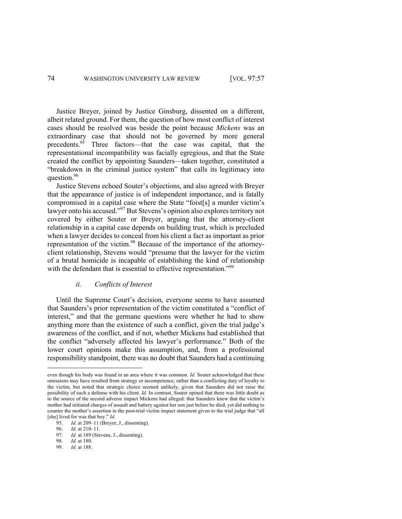Justice Breyer, joined by Justice Ginsburg, dissented on a different, albeit related ground. For them, the question of how most conflict of interest cases should be resolved was beside the point because *Mickens* was an extraordinary case that should not be governed by more general precedents.<sup>95</sup> Three factors—that the case was capital, that the representational incompatibility was facially egregious, and that the State created the conflict by appointing Saunders—taken together, constituted a "breakdown in the criminal justice system" that calls its legitimacy into question.<sup>96</sup>

Justice Stevens echoed Souter's objections, and also agreed with Breyer that the appearance of justice is of independent importance, and is fatally compromised in a capital case where the State "foist[s] a murder victim's lawyer onto his accused."<sup>97</sup> But Stevens's opinion also explores territory not covered by either Souter or Breyer, arguing that the attorney-client relationship in a capital case depends on building trust, which is precluded when a lawyer decides to conceal from his client a fact as important as prior representation of the victim.<sup>98</sup> Because of the importance of the attorneyclient relationship, Stevens would "presume that the lawyer for the victim of a brutal homicide is incapable of establishing the kind of relationship with the defendant that is essential to effective representation."<sup>99</sup>

# *ii. Conflicts of Interest*

Until the Supreme Court's decision, everyone seems to have assumed that Saunders's prior representation of the victim constituted a "conflict of interest," and that the germane questions were whether he had to show anything more than the existence of such a conflict, given the trial judge's awareness of the conflict, and if not, whether Mickens had established that the conflict "adversely affected his lawyer's performance." Both of the lower court opinions make this assumption, and, from a professional responsibility standpoint, there was no doubt that Saunders had a continuing

even though his body was found in an area where it was common. *Id.* Souter acknowledged that these omissions may have resulted from strategy or incompetence, rather than a conflicting duty of loyalty to the victim, but noted that strategic choice seemed unlikely, given that Saunders did not raise the possibility of such a defense with his client. *Id.* In contrast, Souter opined that there was little doubt as to the source of the second adverse impact Mickens had alleged: that Saunders knew that the victim's mother had initiated charges of assault and battery against her son just before he died, yet did nothing to counter the mother's assertion in the post-trial victim impact statement given to the trial judge that "all [she] lived for was that boy." *Id.*

<sup>95.</sup> *Id.* at 209-11 (Breyer, J., dissenting).<br>96. *Id.* at 210-11.

<sup>96.</sup> *Id.* at 210–11.

<sup>97.</sup> *Id.* at 189 (Stevens, J., dissenting).

<sup>98.</sup> *Id.* at 180.

<sup>99.</sup> *Id.* at 188.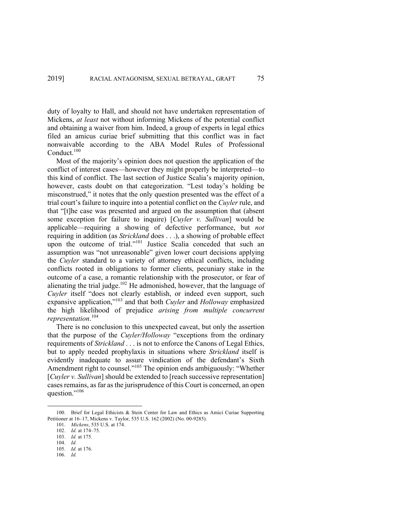duty of loyalty to Hall, and should not have undertaken representation of Mickens, *at least* not without informing Mickens of the potential conflict and obtaining a waiver from him. Indeed, a group of experts in legal ethics filed an amicus curiae brief submitting that this conflict was in fact nonwaivable according to the ABA Model Rules of Professional Conduct.<sup>100</sup>

Most of the majority's opinion does not question the application of the conflict of interest cases—however they might properly be interpreted—to this kind of conflict. The last section of Justice Scalia's majority opinion, however, casts doubt on that categorization. "Lest today's holding be misconstrued," it notes that the only question presented was the effect of a trial court's failure to inquire into a potential conflict on the *Cuyler* rule, and that "[t]he case was presented and argued on the assumption that (absent some exception for failure to inquire) [*Cuyler v. Sullivan*] would be applicable—requiring a showing of defective performance, but *not*  requiring in addition (as *Strickland* does . . .), a showing of probable effect upon the outcome of trial."<sup>101</sup> Justice Scalia conceded that such an assumption was "not unreasonable" given lower court decisions applying the *Cuyler* standard to a variety of attorney ethical conflicts, including conflicts rooted in obligations to former clients, pecuniary stake in the outcome of a case, a romantic relationship with the prosecutor, or fear of alienating the trial judge.<sup>102</sup> He admonished, however, that the language of *Cuyler* itself "does not clearly establish, or indeed even support, such expansive application,"<sup>103</sup> and that both *Cuyler* and *Holloway* emphasized the high likelihood of prejudice *arising from multiple concurrent representation*. 104

There is no conclusion to this unexpected caveat, but only the assertion that the purpose of the *Cuyler/Holloway* "exceptions from the ordinary requirements of *Strickland* . . . is not to enforce the Canons of Legal Ethics, but to apply needed prophylaxis in situations where *Strickland* itself is evidently inadequate to assure vindication of the defendant's Sixth Amendment right to counsel."<sup>105</sup> The opinion ends ambiguously: "Whether [*Cuyler v. Sullivan*] should be extended to [reach successive representation] cases remains, as far as the jurisprudence of this Court is concerned, an open question."<sup>106</sup>

<sup>100.</sup> Brief for Legal Ethicists & Stein Center for Law and Ethics as Amici Curiae Supporting Petitioner at 16–17, Mickens v. Taylor, 535 U.S. 162 (2002) (No. 00-9285).

<sup>101.</sup> *Mickens*, 535 U.S. at 174.

<sup>102.</sup> *Id.* at 174–75.

<sup>103.</sup> *Id.* at 175.

<sup>104.</sup> *Id.*

<sup>105.</sup> *Id.* at 176.

<sup>106.</sup> *Id.*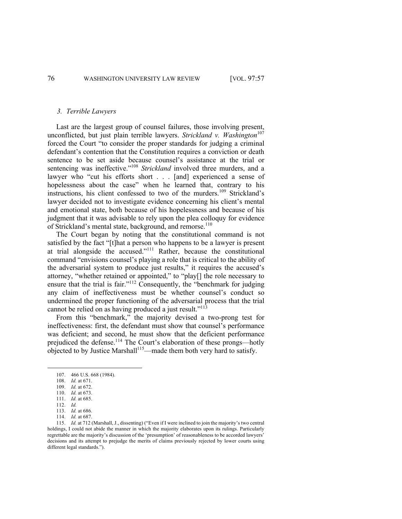#### *3. Terrible Lawyers*

Last are the largest group of counsel failures, those involving present, unconflicted, but just plain terrible lawyers. *Strickland v. Washington*<sup>107</sup> forced the Court "to consider the proper standards for judging a criminal defendant's contention that the Constitution requires a conviction or death sentence to be set aside because counsel's assistance at the trial or sentencing was ineffective."<sup>108</sup> *Strickland* involved three murders, and a lawyer who "cut his efforts short . . . [and] experienced a sense of hopelessness about the case" when he learned that, contrary to his instructions, his client confessed to two of the murders.<sup>109</sup> Strickland's lawyer decided not to investigate evidence concerning his client's mental and emotional state, both because of his hopelessness and because of his judgment that it was advisable to rely upon the plea colloquy for evidence of Strickland's mental state, background, and remorse.<sup>110</sup>

The Court began by noting that the constitutional command is not satisfied by the fact "[t]hat a person who happens to be a lawyer is present at trial alongside the accused."<sup>111</sup> Rather, because the constitutional command "envisions counsel's playing a role that is critical to the ability of the adversarial system to produce just results," it requires the accused's attorney, "whether retained or appointed," to "play[] the role necessary to ensure that the trial is fair."<sup>112</sup> Consequently, the "benchmark for judging any claim of ineffectiveness must be whether counsel's conduct so undermined the proper functioning of the adversarial process that the trial cannot be relied on as having produced a just result."<sup>113</sup>

From this "benchmark," the majority devised a two-prong test for ineffectiveness: first, the defendant must show that counsel's performance was deficient; and second, he must show that the deficient performance prejudiced the defense.<sup>114</sup> The Court's elaboration of these prongs—hotly  $\frac{1}{2}$ objected to by Justice Marshall<sup>115</sup>—made them both very hard to satisfy.

<sup>107.</sup> 466 U.S. 668 (1984).

<sup>108.</sup> *Id.* at 671.

<sup>109.</sup> *Id.* at 672.

<sup>110.</sup> *Id.* at 673. 111. *Id.* at 685.

<sup>112.</sup> *Id.*

<sup>113.</sup> *Id.* at 686.

<sup>114.</sup> *Id.* at 687.

<sup>115.</sup> *Id.* at 712 (Marshall, J., dissenting) ("Even if I were inclined to join the majority's two central holdings, I could not abide the manner in which the majority elaborates upon its rulings. Particularly regrettable are the majority's discussion of the 'presumption' of reasonableness to be accorded lawyers' decisions and its attempt to prejudge the merits of claims previously rejected by lower courts using different legal standards.").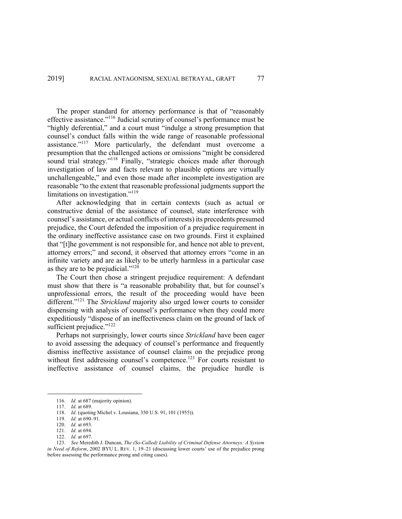The proper standard for attorney performance is that of "reasonably effective assistance."116 Judicial scrutiny of counsel's performance must be "highly deferential," and a court must "indulge a strong presumption that counsel's conduct falls within the wide range of reasonable professional assistance."117 More particularly, the defendant must overcome a presumption that the challenged actions or omissions "might be considered sound trial strategy."<sup>118</sup> Finally, "strategic choices made after thorough investigation of law and facts relevant to plausible options are virtually unchallengeable," and even those made after incomplete investigation are reasonable "to the extent that reasonable professional judgments support the limitations on investigation."<sup>119</sup>

After acknowledging that in certain contexts (such as actual or constructive denial of the assistance of counsel, state interference with counsel's assistance, or actual conflicts of interests) its precedents presumed prejudice, the Court defended the imposition of a prejudice requirement in the ordinary ineffective assistance case on two grounds. First it explained that "[t]he government is not responsible for, and hence not able to prevent, attorney errors;" and second, it observed that attorney errors "come in an infinite variety and are as likely to be utterly harmless in a particular case as they are to be prejudicial."120

The Court then chose a stringent prejudice requirement: A defendant must show that there is "a reasonable probability that, but for counsel's unprofessional errors, the result of the proceeding would have been different."<sup>121</sup> The *Strickland* majority also urged lower courts to consider dispensing with analysis of counsel's performance when they could more expeditiously "dispose of an ineffectiveness claim on the ground of lack of sufficient prejudice."<sup>122</sup>

Perhaps not surprisingly, lower courts since *Strickland* have been eager to avoid assessing the adequacy of counsel's performance and frequently dismiss ineffective assistance of counsel claims on the prejudice prong without first addressing counsel's competence.<sup>123</sup> For courts resistant to ineffective assistance of counsel claims, the prejudice hurdle is

<sup>116.</sup> *Id.* at 687 (majority opinion).

<sup>117.</sup> *Id.* at 689.

<sup>118.</sup> *Id.* (quoting Michel v. Lousiana, 350 U.S. 91, 101 (1955)).

<sup>119.</sup> *Id*. at 690–91.

<sup>120.</sup> *Id.* at 693.

<sup>121.</sup> *Id.* at 694.

<sup>122.</sup> *Id.* at 697.

<sup>123.</sup> *See* Meredith J. Duncan, *The (So-Called) Liability of Criminal Defense Attorneys: A System in Need of Reform*, 2002 BYU L. REV. 1, 19–21 (discussing lower courts' use of the prejudice prong before assessing the performance prong and citing cases).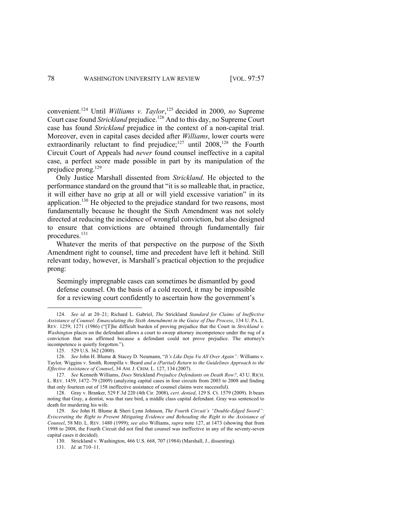convenient.<sup>124</sup> Until *Williams v. Taylor*, <sup>125</sup> decided in 2000, *no* Supreme Court case found *Strickland* prejudice.<sup>126</sup> And to this day, no Supreme Court case has found *Strickland* prejudice in the context of a non-capital trial. Moreover, even in capital cases decided after *Williams*, lower courts were extraordinarily reluctant to find prejudice;<sup>127</sup> until 2008,<sup>128</sup> the Fourth Circuit Court of Appeals had *never* found counsel ineffective in a capital case, a perfect score made possible in part by its manipulation of the prejudice prong.<sup>129</sup>

Only Justice Marshall dissented from *Strickland*. He objected to the performance standard on the ground that "it is so malleable that, in practice, it will either have no grip at all or will yield excessive variation" in its application.<sup>130</sup> He objected to the prejudice standard for two reasons, most fundamentally because he thought the Sixth Amendment was not solely directed at reducing the incidence of wrongful conviction, but also designed to ensure that convictions are obtained through fundamentally fair procedures. 131

Whatever the merits of that perspective on the purpose of the Sixth Amendment right to counsel, time and precedent have left it behind. Still relevant today, however, is Marshall's practical objection to the prejudice prong:

Seemingly impregnable cases can sometimes be dismantled by good defense counsel. On the basis of a cold record, it may be impossible for a reviewing court confidently to ascertain how the government's

<sup>124.</sup> *See id.* at 20–21; Richard L. Gabriel, *The* Strickland *Standard for Claims of Ineffective Assistance of Counsel: Emasculating the Sixth Amendment in the Guise of Due Process*, 134 U. PA. L. REV. 1259, 1271 (1986) ("[T]he difficult burden of proving prejudice that the Court in *Strickland v. Washington* places on the defendant allows a court to sweep attorney incompetence under the rug of a conviction that was affirmed because a defendant could not prove prejudice. The attorney's incompetence is quietly forgotten.").

<sup>125.</sup> 529 U.S. 362 (2000).

<sup>126.</sup> *See* John H. Blume & Stacey D. Neumann, "*It's Like Deja Vu All Over Again":* Williams v. Taylor*,* Wiggins v. Smith*,* Rompilla v. Beard *and a (Partial) Return to the Guidelines Approach to the Effective Assistance of Counsel*, 34 AM. J. CRIM. L. 127, 134 (2007).

<sup>127.</sup> *See* Kenneth Williams, *Does* Strickland *Prejudice Defendants on Death Row?*, 43 U. RICH. L. REV. 1459, 1472–79 (2009) (analyzing capital cases in four circuits from 2003 to 2008 and finding that only fourteen out of 158 ineffective assistance of counsel claims were successful).

<sup>128.</sup> Gray v. Branker, 529 F.3d 220 (4th Cir. 2008), *cert. denied*, 129 S. Ct. 1579 (2009). It bears noting that Gray, a dentist, was that rare bird, a middle class capital defendant. Gray was sentenced to death for murdering his wife.

<sup>129.</sup> *See* John H. Blume & Sheri Lynn Johnson, *The Fourth Circuit's "Double-Edged Sword": Eviscerating the Right to Present Mitigating Evidence and Beheading the Right to the Assistance of Counsel*, 58 MD. L. REV. 1480 (1999); *see also* Williams, *supra* note 127, at 1473 (showing that from 1998 to 2008, the Fourth Circuit did not find that counsel was ineffective in any of the seventy-seven capital cases it decided).

<sup>130.</sup> Strickland v. Washington, 466 U.S. 668, 707 (1984) (Marshall, J., dissenting).

<sup>131.</sup> *Id.* at 710–11.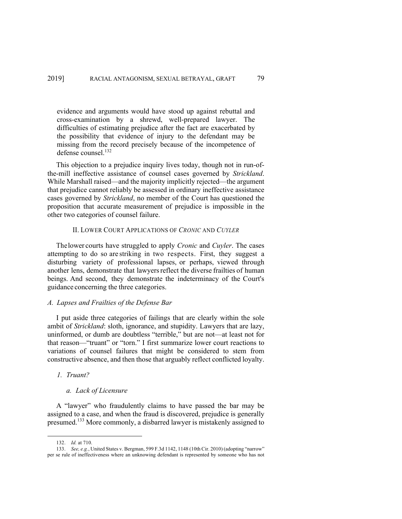evidence and arguments would have stood up against rebuttal and cross-examination by a shrewd, well-prepared lawyer. The difficulties of estimating prejudice after the fact are exacerbated by the possibility that evidence of injury to the defendant may be missing from the record precisely because of the incompetence of defense counsel.132

This objection to a prejudice inquiry lives today, though not in run-ofthe-mill ineffective assistance of counsel cases governed by *Strickland*. While Marshall raised—and the majority implicitly rejected—the argument that prejudice cannot reliably be assessed in ordinary ineffective assistance cases governed by *Strickland*, no member of the Court has questioned the proposition that accurate measurement of prejudice is impossible in the other two categories of counsel failure.

### II. LOWER COURT APPLICATIONS OF *CRONIC* AND *CUYLER*

Thelower courts have struggled to apply *Cronic* and *Cuyler*. The cases attempting to do so are striking in two respects. First, they suggest a disturbing variety of professional lapses, or perhaps, viewed through another lens, demonstrate that lawyers reflect the diverse frailties of human beings. And second, they demonstrate the indeterminacy of the Court's guidance concerning the three categories.

# *A. Lapses and Frailties of the Defense Bar*

I put aside three categories of failings that are clearly within the sole ambit of *Strickland*: sloth, ignorance, and stupidity. Lawyers that are lazy, uninformed, or dumb are doubtless "terrible," but are not—at least not for that reason—"truant" or "torn." I first summarize lower court reactions to variations of counsel failures that might be considered to stem from constructive absence, and then those that arguably reflect conflicted loyalty.

# *1. Truant?*

### *a. Lack of Licensure*

A "lawyer" who fraudulently claims to have passed the bar may be assigned to a case, and when the fraud is discovered, prejudice is generally presumed.<sup>133</sup> More commonly, a disbarred lawyer is mistakenly assigned to

<sup>132.</sup> *Id.* at 710.

<sup>133.</sup> *See, e.g.*, United States v. Bergman, 599 F.3d 1142, 1148 (10th Cir. 2010) (adopting "narrow" per se rule of ineffectiveness where an unknowing defendant is represented by someone who has not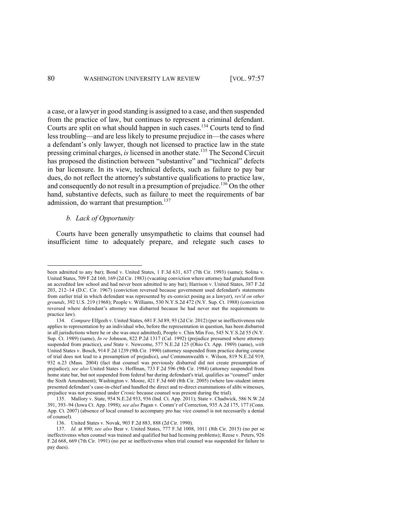a case, or a lawyer in good standing is assigned to a case, and then suspended from the practice of law, but continues to represent a criminal defendant. Courts are split on what should happen in such cases.<sup>134</sup> Courts tend to find less troubling—and are less likely to presume prejudice in—the cases where a defendant's only lawyer, though not licensed to practice law in the state pressing criminal charges, *is* licensed in another state.<sup>135</sup> The Second Circuit has proposed the distinction between "substantive" and "technical" defects in bar licensure. In its view, technical defects, such as failure to pay bar dues, do not reflect the attorney's substantive qualifications to practice law, and consequently do not result in a presumption of prejudice.<sup>136</sup> On the other hand, substantive defects, such as failure to meet the requirements of bar admission, do warrant that presumption.<sup>137</sup>

### *b. Lack of Opportunity*

Courts have been generally unsympathetic to claims that counsel had insufficient time to adequately prepare, and relegate such cases to

been admitted to any bar); Bond v. United States, 1 F.3d 631, 637 (7th Cir. 1993) (same); Solina v. United States, 709 F.2d 160, 169 (2d Cir. 1983) (vacating conviction where attorney had graduated from an accredited law school and had never been admitted to any bar); Harrison v. United States, 387 F.2d 203, 212–14 (D.C. Cir. 1967) (conviction reversed because government used defendant's statements from earlier trial in which defendant was represented by ex-convict posing as a lawyer), *rev'd on other grounds*, 392 U.S. 219 (1968); People v. Williams, 530 N.Y.S.2d 472 (N.Y. Sup. Ct. 1988) (conviction reversed where defendant's attorney was disbarred because he had never met the requirements to practice law).

<sup>134.</sup> *Compare* Elfgeeh v. United States, 681 F.3d 89, 93 (2d Cir. 2012) (per se ineffectiveness rule applies to representation by an individual who, before the representation in question, has been disbarred in all jurisdictions where he or she was once admitted), People v. Chin Min Foo, 545 N.Y.S.2d 55 (N.Y. Sup. Ct. 1989) (same), *In re* Johnson, 822 P.2d 1317 (Cal. 1992) (prejudice presumed where attorney suspended from practice), *and* State v. Newcome, 577 N.E.2d 125 (Ohio Ct. App. 1989) (same), *with*  United States v. Bosch, 914 F.2d 1239 (9th Cir. 1990) (attorney suspended from practice during course of trial does not lead to a presumption of prejudice), *and* Commonwealth v. Wilson, 819 N.E.2d 919, 932 n.23 (Mass. 2004) (fact that counsel was previously disbarred did not create presumption of prejudice); *see also* United States v. Hoffman, 733 F.2d 596 (9th Cir. 1984) (attorney suspended from home state bar, but not suspended from federal bar during defendant's trial, qualifies as "counsel" under the Sixth Amendment); Washington v. Moore, 421 F.3d 660 (8th Cir. 2005) (where law-student intern presented defendant's case-in-chief and handled the direct and re-direct examinations of alibi witnesses, prejudice was not presumed under *Cronic* because counsel was present during the trial).

<sup>135.</sup> Mallory v. State, 954 N.E.2d 933, 936 (Ind. Ct. App. 2011); State v. Chadwick, 586 N.W.2d 391, 393–94 (Iowa Ct. App. 1998); *see also* Pagan v. Comm'r of Correction, 935 A.2d 175, 177 (Conn. App. Ct. 2007) (absence of local counsel to accompany pro hac vice counsel is not necessarily a denial of counsel).

<sup>136.</sup> United States v. Novak, 903 F.2d 883, 888 (2d Cir. 1990).

<sup>137.</sup> *Id.* at 890; *see also* Bear v. United States, 777 F.3d 1008, 1011 (8th Cir. 2015) (no per se ineffectivenss when counsel was trained and qualified but had licensing problems); Reese v. Peters, 926 F.2d 668, 669 (7th Cir. 1991) (no per se ineffectivenss when trial counsel was suspended for failure to pay dues).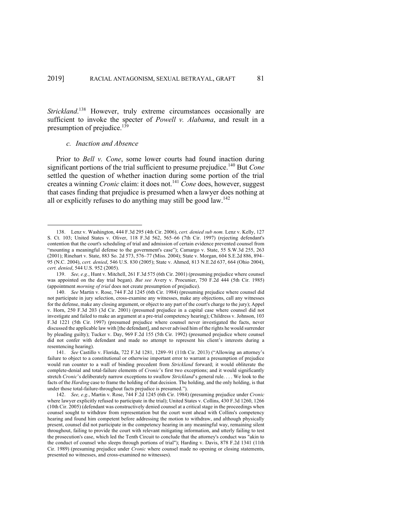Strickland.<sup>138</sup> However, truly extreme circumstances occasionally are sufficient to invoke the specter of *Powell v. Alabama*, and result in a presumption of prejudice.<sup>139</sup>

# *c. Inaction and Absence*

Prior to *Bell v. Cone*, some lower courts had found inaction during significant portions of the trial sufficient to presume prejudice.<sup>140</sup> But *Cone* settled the question of whether inaction during some portion of the trial creates a winning *Cronic* claim: it does not.<sup>141</sup> *Cone* does, however, suggest that cases finding that prejudice is presumed when a lawyer does nothing at all or explicitly refuses to do anything may still be good law.<sup>142</sup>

<sup>138.</sup> Lenz v. Washington, 444 F.3d 295 (4th Cir. 2006), *cert. denied sub nom.* Lenz v. Kelly, 127 S. Ct. 103; United States v. Oliver, 118 F.3d 562, 565–66 (7th Cir. 1997) (rejecting defendant's contention that the court's scheduling of trial and admission of certain evidence prevented counsel from "mounting a meaningful defense to the government's case"); Camargo v. State, 55 S.W.3d 255, 263 (2001); Rinehart v. State, 883 So. 2d 573, 576–77 (Miss. 2004); State v. Morgan, 604 S.E.2d 886, 894– 95 (N.C. 2004), *cert. denied*, 546 U.S. 830 (2005); State v. Ahmed, 813 N.E.2d 637, 664 (Ohio 2004), *cert. denied*, 544 U.S. 952 (2005).

<sup>139.</sup> *See, e.g.*, Hunt v. Mitchell, 261 F.3d 575 (6th Cir. 2001) (presuming prejudice where counsel was appointed on the day trial began). *But see* Avery v. Procunier, 750 F.2d 444 (5th Cir. 1985) (appointment *morning of trial* does not create presumption of prejudice).

<sup>140.</sup> *See* Martin v. Rose, 744 F.2d 1245 (6th Cir. 1984) (presuming prejudice where counsel did not participate in jury selection, cross-examine any witnesses, make any objections, call any witnesses for the defense, make any closing argument, or object to any part of the court's charge to the jury); Appel v. Horn, 250 F.3d 203 (3d Cir. 2001) (presumed prejudice in a capital case where counsel did not investigate and failed to make an argument at a pre-trial competency hearing); Childress v. Johnson, 103 F.3d 1221 (5th Cir. 1997) (presumed prejudice where counsel never investigated the facts, never discussed the applicable law with [the defendant], and never advised him of the rights he would surrender by pleading guilty); Tucker v. Day, 969 F.2d 155 (5th Cir. 1992) (presumed prejudice where counsel did not confer with defendant and made no attempt to represent his client's interests during a resentencing hearing).

<sup>141.</sup> *See* Castillo v. Florida, 722 F.3d 1281, 1289–91 (11th Cir. 2013) ("Allowing an attorney's failure to object to a constitutional or otherwise important error to warrant a presumption of prejudice would run counter to a wall of binding precedent from *Strickland* forward; it would obliterate the complete-denial and total-failure elements of *Cronic*'s first two exceptions; and it would significantly stretch *Cronic*'s deliberately narrow exceptions to swallow *Strickland*'s general rule. . . . We look to the facts of the *Harding* case to frame the holding of that decision. The holding, and the only holding, is that under those total-failure-throughout facts prejudice is presumed.").

<sup>142.</sup> *See, e.g.*, Martin v. Rose, 744 F.2d 1245 (6th Cir. 1984) (presuming prejudice under *Cronic* where lawyer explicitly refused to participate in the trial); United States v. Collins, 430 F.3d 1260, 1266 (10th Cir. 2005) (defendant was constructively denied counsel at a critical stage in the proceedings when counsel sought to withdraw from representation but the court went ahead with Collins's competency hearing and found him competent before addressing the motion to withdraw, and although physically present, counsel did not participate in the competency hearing in any meaningful way, remaining silent throughout, failing to provide the court with relevant mitigating information, and utterly failing to test the prosecution's case, which led the Tenth Circuit to conclude that the attorney's conduct was "akin to the conduct of counsel who sleeps through portions of trial"); Harding v. Davis, 878 F.2d 1341 (11th Cir. 1989) (presuming prejudice under *Cronic* where counsel made no opening or closing statements, presented no witnesses, and cross-examined no witnesses).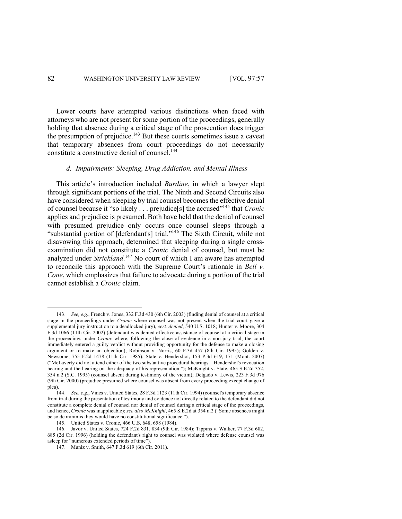Lower courts have attempted various distinctions when faced with attorneys who are not present for some portion of the proceedings, generally holding that absence during a critical stage of the prosecution does trigger the presumption of prejudice.<sup>143</sup> But these courts sometimes issue a caveat that temporary absences from court proceedings do not necessarily constitute a constructive denial of counsel.<sup>144</sup>

# *d. Impairments: Sleeping, Drug Addiction, and Mental Illness*

This article's introduction included *Burdine*, in which a lawyer slept through significant portions of the trial. The Ninth and Second Circuits also have considered when sleeping by trial counsel becomes the effective denial of counsel because it "so likely . . . prejudice[s] the accused"145 that *Cronic* applies and prejudice is presumed. Both have held that the denial of counsel with presumed prejudice only occurs once counsel sleeps through a "substantial portion of [defendant's] trial."146 The Sixth Circuit, while not disavowing this approach, determined that sleeping during a single crossexamination did not constitute a *Cronic* denial of counsel, but must be analyzed under *Strickland*. <sup>147</sup> No court of which I am aware has attempted to reconcile this approach with the Supreme Court's rationale in *Bell v. Cone*, which emphasizes that failure to advocate during a portion of the trial cannot establish a *Cronic* claim.

<sup>143.</sup> *See, e.g.*, French v. Jones, 332 F.3d 430 (6th Cir. 2003) (finding denial of counsel at a critical stage in the proceedings under *Cronic* where counsel was not present when the trial court gave a supplemental jury instruction to a deadlocked jury), *cert. denied*, 540 U.S. 1018; Hunter v. Moore, 304 F.3d 1066 (11th Cir. 2002) (defendant was denied effective assistance of counsel at a critical stage in the proceedings under *Cronic* where, following the close of evidence in a non-jury trial, the court immediately entered a guilty verdict without providing opportunity for the defense to make a closing argument or to make an objection); Robinson v. Norris, 60 F.3d 457 (8th Cir. 1995); Golden v. Newsome, 755 F.2d 1478 (11th Cir. 1985); State v. Hendershot, 153 P.3d 619, 171 (Mont. 2007) ("McLaverty did not attend either of the two substantive procedural hearings—Hendershot's revocation hearing and the hearing on the adequacy of his representation."); McKnight v. State, 465 S.E.2d 352, 354 n.2 (S.C. 1995) (counsel absent during testimony of the victim); Delgado v. Lewis, 223 F.3d 976 (9th Cir. 2000) (prejudice presumed where counsel was absent from every proceeding except change of plea).

<sup>144.</sup> *See, e.g.*, Vines v. United States, 28 F.3d 1123 (11th Cir. 1994) (counsel's temporary absence from trial during the presentation of testimony and evidence not directly related to the defendant did not constitute a complete denial of counsel nor denial of counsel during a critical stage of the proceedings, and hence, *Cronic* was inapplicable); *see also McKnight*, 465 S.E.2d at 354 n.2 ("Some absences might be so de minimis they would have no constitutional significance.").

<sup>145.</sup> United States v. Cronic, 466 U.S. 648, 658 (1984).

<sup>146.</sup> Javor v. United States, 724 F.2d 831, 834 (9th Cir. 1984); Tippins v. Walker, 77 F.3d 682, 685 (2d Cir. 1996) (holding the defendant's right to counsel was violated where defense counsel was asleep for "numerous extended periods of time").

<sup>147.</sup> Muniz v. Smith, 647 F.3d 619 (6th Cir. 2011).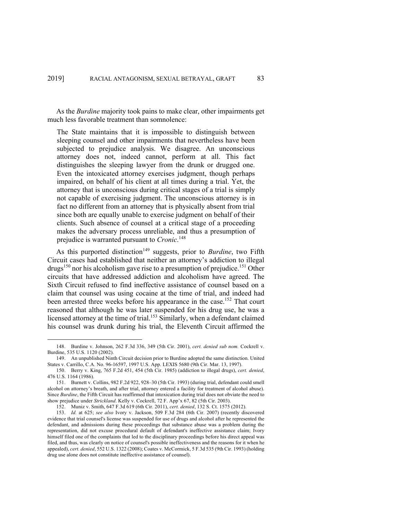As the *Burdine* majority took pains to make clear, other impairments get much less favorable treatment than somnolence:

The State maintains that it is impossible to distinguish between sleeping counsel and other impairments that nevertheless have been subjected to prejudice analysis. We disagree. An unconscious attorney does not, indeed cannot, perform at all. This fact distinguishes the sleeping lawyer from the drunk or drugged one. Even the intoxicated attorney exercises judgment, though perhaps impaired, on behalf of his client at all times during a trial. Yet, the attorney that is unconscious during critical stages of a trial is simply not capable of exercising judgment. The unconscious attorney is in fact no different from an attorney that is physically absent from trial since both are equally unable to exercise judgment on behalf of their clients. Such absence of counsel at a critical stage of a proceeding makes the adversary process unreliable, and thus a presumption of prejudice is warranted pursuant to *Cronic*. 148

As this purported distinction<sup>149</sup> suggests, prior to *Burdine*, two Fifth Circuit cases had established that neither an attorney's addiction to illegal drugs<sup>150</sup> nor his alcoholism gave rise to a presumption of prejudice.<sup>151</sup> Other circuits that have addressed addiction and alcoholism have agreed. The Sixth Circuit refused to find ineffective assistance of counsel based on a claim that counsel was using cocaine at the time of trial, and indeed had been arrested three weeks before his appearance in the case.<sup>152</sup> That court reasoned that although he was later suspended for his drug use, he was a licensed attorney at the time of trial.<sup>153</sup> Similarly, when a defendant claimed his counsel was drunk during his trial, the Eleventh Circuit affirmed the

<sup>148.</sup> Burdine v. Johnson, 262 F.3d 336, 349 (5th Cir. 2001), *cert. denied sub nom.* Cockrell v. Burdine, 535 U.S. 1120 (2002).

<sup>149.</sup> An unpublished Ninth Circuit decision prior to Burdine adopted the same distinction. United States v. Carrillo, C.A. No. 96-16597, 1997 U.S. App. LEXIS 5680 (9th Cir. Mar. 13, 1997).

<sup>150.</sup> Berry v. King, 765 F.2d 451, 454 (5th Cir. 1985) (addiction to illegal drugs), *cert. denied*, 476 U.S. 1164 (1986).

<sup>151.</sup> Burnett v. Collins, 982 F.2d 922, 928–30 (5th Cir. 1993) (during trial, defendant could smell alcohol on attorney's breath, and after trial, attorney entered a facility for treatment of alcohol abuse). Since *Burdine*, the Fifth Circuit has reaffirmed that intoxication during trial does not obviate the need to show prejudice under *Strickland*. Kelly v. Cockrell, 72 F. App'x 67, 82 (5th Cir. 2003).

<sup>152.</sup> Muniz v. Smith, 647 F.3d 619 (6th Cir. 2011), *cert. denied*, 132 S. Ct. 1575 (2012).

<sup>153.</sup> *Id.* at 625; *see also* Ivory v. Jackson, 509 F.3d 284 (6th Cir. 2007) (recently discovered evidence that trial counsel's license was suspended for use of drugs and alcohol after he represented the defendant, and admissions during these proceedings that substance abuse was a problem during the representation, did not excuse procedural default of defendant's ineffective assistance claim; Ivory himself filed one of the complaints that led to the disciplinary proceedings before his direct appeal was filed, and thus, was clearly on notice of counsel's possible ineffectiveness and the reasons for it when he appealed), *cert. denied*, 552 U.S. 1322 (2008); Coates v. McCormick, 5 F.3d 535 (9th Cir. 1993) (holding drug use alone does not constitute ineffective assistance of counsel).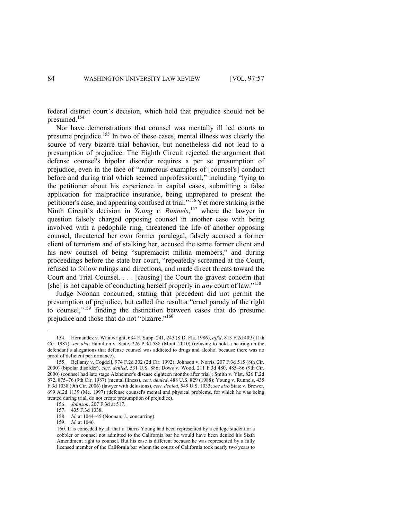federal district court's decision, which held that prejudice should not be presumed.<sup>154</sup>

Nor have demonstrations that counsel was mentally ill led courts to presume prejudice.155 In two of these cases, mental illness was clearly the source of very bizarre trial behavior, but nonetheless did not lead to a presumption of prejudice. The Eighth Circuit rejected the argument that defense counsel's bipolar disorder requires a per se presumption of prejudice, even in the face of "numerous examples of [counsel's] conduct before and during trial which seemed unprofessional," including "lying to the petitioner about his experience in capital cases, submitting a false application for malpractice insurance, being unprepared to present the petitioner's case, and appearing confused at trial."<sup>156</sup> Yet more striking is the Ninth Circuit's decision in *Young v. Runnels*,<sup>157</sup> where the lawyer in question falsely charged opposing counsel in another case with being involved with a pedophile ring, threatened the life of another opposing counsel, threatened her own former paralegal, falsely accused a former client of terrorism and of stalking her, accused the same former client and his new counsel of being "supremacist militia members," and during proceedings before the state bar court, "repeatedly screamed at the Court, refused to follow rulings and directions, and made direct threats toward the Court and Trial Counsel. . . . [causing] the Court the gravest concern that [she] is not capable of conducting herself properly in *any* court of law."158

Judge Noonan concurred, stating that precedent did not permit the presumption of prejudice, but called the result a "cruel parody of the right to counsel,"159 finding the distinction between cases that do presume prejudice and those that do not "bizarre."<sup>160</sup>

<sup>154.</sup> Hernandez v. Wainwright, 634 F. Supp. 241, 245 (S.D. Fla. 1986), *aff'd*, 813 F.2d 409 (11th Cir. 1987); *see also* Hamilton v. State, 226 P.3d 588 (Mont. 2010) (refusing to hold a hearing on the defendant's allegations that defense counsel was addicted to drugs and alcohol because there was no proof of deficient performance).

<sup>155.</sup> Bellamy v. Cogdell, 974 F.2d 302 (2d Cir. 1992); Johnson v. Norris, 207 F.3d 515 (8th Cir. 2000) (bipolar disorder), *cert. denied*, 531 U.S. 886; Dows v. Wood, 211 F.3d 480, 485–86 (9th Cir. 2000) (counsel had late stage Alzheimer's disease eighteen months after trial); Smith v. Ylst, 826 F.2d 872, 875–76 (9th Cir. 1987) (mental illness), *cert. denied*, 488 U.S. 829 (1988); Young v. Runnels, 435 F.3d 1038 (9th Cir. 2006) (lawyer with delusions), *cert. denied*, 549 U.S. 1033; *see also* State v. Brewer, 699 A.2d 1139 (Me. 1997) (defense counsel's mental and physical problems, for which he was being treated during trial, do not create presumption of prejudice).

<sup>156.</sup> *Johnson*, 207 F.3d at 517.

<sup>157.</sup> 435 F.3d 1038.

<sup>158.</sup> *Id.* at 1044–45 (Noonan, J., concurring).

<sup>159.</sup> *Id.* at 1046.

<sup>160.</sup> It is conceded by all that if Darris Young had been represented by a college student or a cobbler or counsel not admitted to the California bar he would have been denied his Sixth Amendment right to counsel. But his case is different because he was represented by a fully licensed member of the California bar whom the courts of California took nearly two years to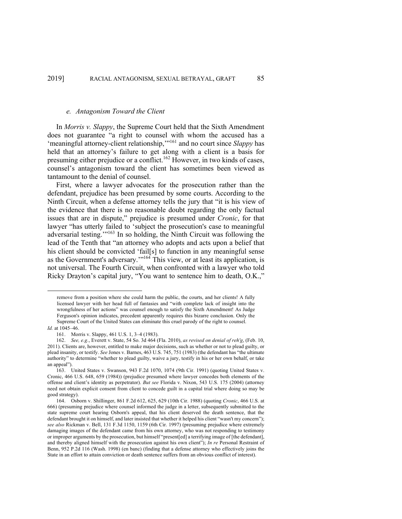# *e. Antagonism Toward the Client*

In *Morris v. Slappy*, the Supreme Court held that the Sixth Amendment does not guarantee "a right to counsel with whom the accused has a 'meaningful attorney-client relationship,'"161 and no court since *Slappy* has held that an attorney's failure to get along with a client is a basis for presuming either prejudice or a conflict.<sup>162</sup> However, in two kinds of cases, counsel's antagonism toward the client has sometimes been viewed as tantamount to the denial of counsel.

First, where a lawyer advocates for the prosecution rather than the defendant, prejudice has been presumed by some courts. According to the Ninth Circuit, when a defense attorney tells the jury that "it is his view of the evidence that there is no reasonable doubt regarding the only factual issues that are in dispute," prejudice is presumed under *Cronic*, for that lawyer "has utterly failed to 'subject the prosecution's case to meaningful adversarial testing.'"163 In so holding, the Ninth Circuit was following the lead of the Tenth that "an attorney who adopts and acts upon a belief that his client should be convicted 'fail[s] to function in any meaningful sense as the Government's adversary."<sup>164</sup> This view, or at least its application, is not universal. The Fourth Circuit, when confronted with a lawyer who told Ricky Drayton's capital jury, "You want to sentence him to death, O.K.,"

remove from a position where she could harm the public, the courts, and her clients! A fully licensed lawyer with her head full of fantasies and "with complete lack of insight into the wrongfulness of her actions" was counsel enough to satisfy the Sixth Amendment! As Judge Ferguson's opinion indicates, precedent apparently requires this bizarre conclusion. Only the Supreme Court of the United States can eliminate this cruel parody of the right to counsel.

*Id.* at 1045–46.

<sup>161.</sup> Morris v. Slappy, 461 U.S. 1, 3–4 (1983).

<sup>162.</sup> *See, e.g.*, Everett v. State, 54 So. 3d 464 (Fla. 2010), *as revised on denial of reh'g*, (Feb. 10, 2011). Clients are, however, entitled to make major decisions, such as whether or not to plead guilty, or plead insanity, or testify. *See* Jones v. Barnes, 463 U.S. 745, 751 (1983) (the defendant has "the ultimate authority" to determine "whether to plead guilty, waive a jury, testify in his or her own behalf, or take an appeal").

<sup>163.</sup> United States v. Swanson, 943 F.2d 1070, 1074 (9th Cir. 1991) (quoting United States v. Cronic, 466 U.S. 648, 659 (1984)) (prejudice presumed where lawyer concedes both elements of the offense and client's identity as perpetrator). *But see* Florida v. Nixon, 543 U.S. 175 (2004) (attorney need not obtain explicit consent from client to concede guilt in a capital trial where doing so may be good strategy).

<sup>164.</sup> Osborn v. Shillinger, 861 F.2d 612, 625, 629 (10th Cir. 1988) (quoting *Cronic*, 466 U.S. at 666) (presuming prejudice where counsel informed the judge in a letter, subsequently submitted to the state supreme court hearing Osborn's appeal, that his client deserved the death sentence, that the defendant brought it on himself, and later insisted that whether it helped his client "wasn't my concern"); *see also* Rickman v. Bell, 131 F.3d 1150, 1159 (6th Cir. 1997) (presuming prejudice where extremely damaging images of the defendant came from his own attorney, who was not responding to testimony or improper arguments by the prosecution, but himself "present[ed] a terrifying image of [the defendant], and thereby aligned himself with the prosecution against his own client"); *In re* Personal Restraint of Benn, 952 P.2d 116 (Wash. 1998) (en banc) (finding that a defense attorney who effectively joins the State in an effort to attain conviction or death sentence suffers from an obvious conflict of interest).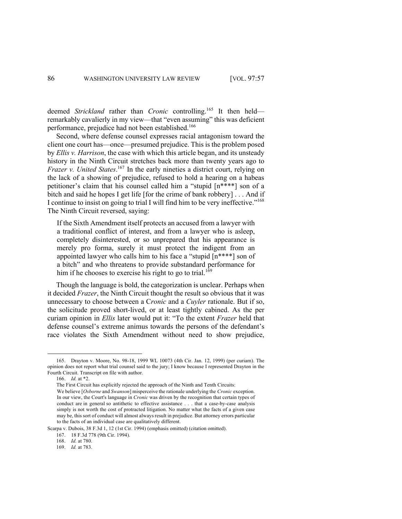deemed *Strickland* rather than *Cronic* controlling.165 It then held remarkably cavalierly in my view—that "even assuming" this was deficient performance, prejudice had not been established.<sup>166</sup>

Second, where defense counsel expresses racial antagonism toward the client one court has—once—presumed prejudice. This is the problem posed by *Ellis v. Harrison*, the case with which this article began, and its unsteady history in the Ninth Circuit stretches back more than twenty years ago to *Frazer v. United States.*<sup>167</sup> In the early nineties a district court, relying on the lack of a showing of prejudice, refused to hold a hearing on a habeas petitioner's claim that his counsel called him a "stupid [n\*\*\*\*] son of a bitch and said he hopes I get life [for the crime of bank robbery] . . . And if I continue to insist on going to trial I will find him to be very ineffective."168 The Ninth Circuit reversed, saying:

If the Sixth Amendment itself protects an accused from a lawyer with a traditional conflict of interest, and from a lawyer who is asleep, completely disinterested, or so unprepared that his appearance is merely pro forma, surely it must protect the indigent from an appointed lawyer who calls him to his face a "stupid [n\*\*\*\*] son of a bitch" and who threatens to provide substandard performance for him if he chooses to exercise his right to go to trial.<sup>169</sup>

Though the language is bold, the categorization is unclear. Perhaps when it decided *Frazer*, the Ninth Circuit thought the result so obvious that it was unnecessary to choose between a C*ronic* and a *Cuyler* rationale. But if so, the solicitude proved short-lived, or at least tightly cabined. As the per curiam opinion in *Ellis* later would put it: "To the extent *Frazer* held that defense counsel's extreme animus towards the persons of the defendant's race violates the Sixth Amendment without need to show prejudice,

<sup>165.</sup> Drayton v. Moore, No. 98-18, 1999 WL 10073 (4th Cir. Jan. 12, 1999) (per curiam). The opinion does not report what trial counsel said to the jury; I know because I represented Drayton in the Fourth Circuit. Transcript on file with author.

<sup>166.</sup> *Id.* at \*2.

The First Circuit has explicitly rejected the approach of the Ninth and Tenth Circuits:

We believe [*Osborne* and *Swanson*] misperceive the rationale underlying the *Cronic* exception. In our view, the Court's language in *Cronic* was driven by the recognition that certain types of conduct are in general so antithetic to effective assistance . . . that a case-by-case analysis simply is not worth the cost of protracted litigation. No matter what the facts of a given case may be, this sort of conduct will almost always result in prejudice. But attorney errors particular to the facts of an individual case are qualitatively different.

Scarpa v. Dubois, 38 F.3d 1, 12 (1st Cir. 1994) (emphasis omitted) (citation omitted).

<sup>167. 18</sup> F.3d 778 (9th Cir. 1994).

<sup>168.</sup> *Id.* at 780.

<sup>169.</sup> *Id.* at 783.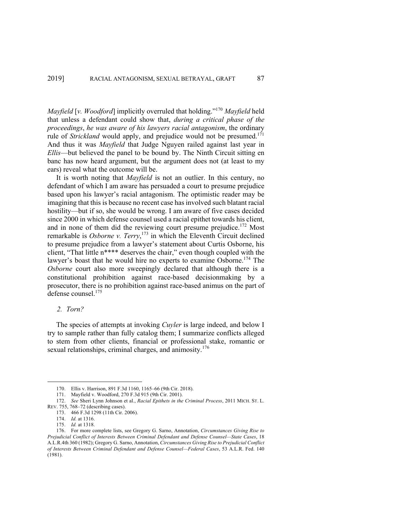*Mayfield* [*v. Woodford*] implicitly overruled that holding."170 *Mayfield* held that unless a defendant could show that, *during a critical phase of the proceedings*, *he was aware of his lawyers racial antagonism*, the ordinary rule of *Strickland* would apply, and prejudice would not be presumed. 171 And thus it was *Mayfield* that Judge Nguyen railed against last year in *Ellis*—but believed the panel to be bound by. The Ninth Circuit sitting en banc has now heard argument, but the argument does not (at least to my ears) reveal what the outcome will be.

It is worth noting that *Mayfield* is not an outlier. In this century, no defendant of which I am aware has persuaded a court to presume prejudice based upon his lawyer's racial antagonism. The optimistic reader may be imagining that this is because no recent case has involved such blatant racial hostility—but if so, she would be wrong. I am aware of five cases decided since 2000 in which defense counsel used a racial epithet towards his client, and in none of them did the reviewing court presume prejudice.<sup>172</sup> Most remarkable is *Osborne v. Terry*, <sup>173</sup> in which the Eleventh Circuit declined to presume prejudice from a lawyer's statement about Curtis Osborne, his client, "That little n\*\*\*\* deserves the chair," even though coupled with the lawyer's boast that he would hire no experts to examine Osborne.<sup>174</sup> The *Osborne* court also more sweepingly declared that although there is a constitutional prohibition against race-based decisionmaking by a prosecutor, there is no prohibition against race-based animus on the part of defense counsel.<sup>175</sup>

#### *2. Torn?*

The species of attempts at invoking *Cuyler* is large indeed, and below I try to sample rather than fully catalog them; I summarize conflicts alleged to stem from other clients, financial or professional stake, romantic or sexual relationships, criminal charges, and animosity.<sup>176</sup>

174. *Id.* at 1316.

<sup>170.</sup> Ellis v. Harrison, 891 F.3d 1160, 1165–66 (9th Cir. 2018).

<sup>171.</sup> Mayfield v. Woodford, 270 F.3d 915 (9th Cir. 2001).

<sup>172.</sup> *See* Sheri Lynn Johnson et al., *Racial Epithets in the Criminal Process*, 2011 MICH. ST. L. REV. 755, 768–72 (describing cases).

<sup>173.</sup> 466 F.3d 1298 (11th Cir. 2006).

<sup>175.</sup> *Id.* at 1318.

<sup>176.</sup> For more complete lists, see Gregory G. Sarno, Annotation, *Circumstances Giving Rise to Prejudicial Conflict of Interests Between Criminal Defendant and Defense Counsel—State Cases*, 18 A.L.R.4th 360 (1982); Gregory G. Sarno, Annotation, *Circumstances Giving Rise to Prejudicial Conflict of Interests Between Criminal Defendant and Defense Counsel—Federal Cases*, 53 A.L.R. Fed. 140 (1981).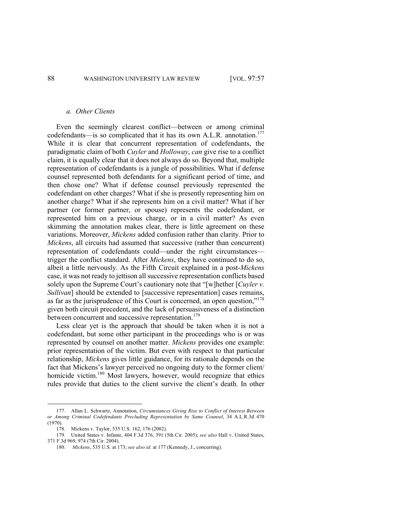### *a. Other Clients*

Even the seemingly clearest conflict—between or among criminal codefendants—is so complicated that it has its own A.L.R. annotation.<sup>177</sup> While it is clear that concurrent representation of codefendants, the paradigmatic claim of both *Cuyler* and *Holloway*, *can* give rise to a conflict claim, it is equally clear that it does not always do so. Beyond that, multiple representation of codefendants is a jungle of possibilities. What if defense counsel represented both defendants for a significant period of time, and then chose one? What if defense counsel previously represented the codefendant on other charges? What if she is presently representing him on another charge? What if she represents him on a civil matter? What if her partner (or former partner, or spouse) represents the codefendant, or represented him on a previous charge, or in a civil matter? As even skimming the annotation makes clear, there is little agreement on these variations. Moreover, *Mickens* added confusion rather than clarity. Prior to *Mickens*, all circuits had assumed that successive (rather than concurrent) representation of codefendants could—under the right circumstances trigger the conflict standard. After *Mickens*, they have continued to do so, albeit a little nervously. As the Fifth Circuit explained in a post-*Mickens* case, it was not ready to jettison all successive representation conflicts based solely upon the Supreme Court's cautionary note that "[w]hether [*Cuyler v. Sullivan*] should be extended to [successive representation] cases remains, as far as the jurisprudence of this Court is concerned, an open question,"178 given both circuit precedent, and the lack of persuasiveness of a distinction between concurrent and successive representation.<sup>179</sup>

Less clear yet is the approach that should be taken when it is not a codefendant, but some other participant in the proceedings who is or was represented by counsel on another matter. *Mickens* provides one example: prior representation of the victim. But even with respect to that particular relationship, *Mickens* gives little guidance, for its rationale depends on the fact that Mickens's lawyer perceived no ongoing duty to the former client/ homicide victim.<sup>180</sup> Most lawyers, however, would recognize that ethics rules provide that duties to the client survive the client's death. In other

<sup>177.</sup> Allan L. Schwartz, Annotation, *Circumstances Giving Rise to Conflict of Interest Between or Among Criminal Codefendants Precluding Representation by Same Counsel*, 34 A.L.R.3d 470 (1970).

<sup>178.</sup> Mickens v. Taylor, 535 U.S. 162, 176 (2002).

<sup>179.</sup> United States v. Infante, 404 F.3d 376, 391 (5th Cir. 2005); *see also* Hall v. United States, 371 F.3d 969, 974 (7th Cir. 2004).

<sup>180.</sup> *Mickens*, 535 U.S. at 173; *see also id.* at 177 (Kennedy, J., concurring).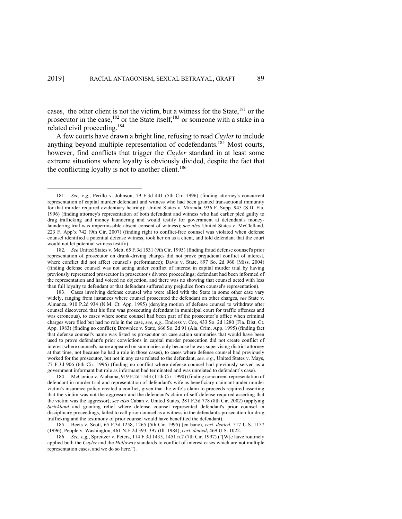cases, the other client is not the victim, but a witness for the State, <sup>181</sup> or the prosecutor in the case,<sup>182</sup> or the State itself,<sup>183</sup> or someone with a stake in a related civil proceeding.<sup>184</sup>

A few courts have drawn a bright line, refusing to read *Cuyler* to include anything beyond multiple representation of codefendants.<sup>185</sup> Most courts, however, find conflicts that trigger the *Cuyler* standard in at least some extreme situations where loyalty is obviously divided, despite the fact that the conflicting loyalty is not to another client.<sup>186</sup>

<sup>181.</sup> *See, e.g.*, Perillo v. Johnson, 79 F.3d 441 (5th Cir. 1996) (finding attorney's concurrent representation of capital murder defendant and witness who had been granted transactional immunity for that murder required evidentiary hearing); United States v. Miranda, 936 F. Supp. 945 (S.D. Fla. 1996) (finding attorney's representation of both defendant and witness who had earlier pled guilty to drug trafficking and money laundering and would testify for government at defendant's moneylaundering trial was impermissible absent consent of witness); s*ee also* United States v. McClelland, 223 F. App'x 742 (9th Cir. 2007) (finding right to conflict-free counsel was violated when defense counsel identified a potential defense witness, took her on as a client, and told defendant that the court would not let potential witness testify).

<sup>182</sup>*. See* United States v. Mett, 65 F.3d 1531 (9th Cir. 1995) (finding fraud defense counsel's prior representation of prosecutor on drunk-driving charges did not prove prejudicial conflict of interest, where conflict did not affect counsel's performance); Davis v. State, 897 So. 2d 960 (Miss. 2004) (finding defense counsel was not acting under conflict of interest in capital murder trial by having previously represented prosecutor in prosecutor's divorce proceedings; defendant had been informed of the representation and had voiced no objection, and there was no showing that counsel acted with less than full loyalty to defendant or that defendant suffered any prejudice from counsel's representation).

<sup>183.</sup> Cases involving defense counsel who were allied with the State in some other case vary widely, ranging from instances where counsel prosecuted the defendant on other charges, *see* State v. Almanza, 910 P.2d 934 (N.M. Ct. App. 1995) (denying motion of defense counsel to withdraw after counsel discovered that his firm was prosecuting defendant in municipal court for traffic offenses and was erroneous), to cases where some counsel had been part of the prosecutor's office when criminal charges were filed but had no role in the case, *see, e.g.*, Endress v. Coe, 433 So. 2d 1280 (Fla. Dist. Ct. App. 1983) (finding no conflict); Brownlee v. State, 666 So. 2d 91 (Ala. Crim. App. 1995) (finding fact that defense counsel's name was listed as prosecutor on case action summaries that would have been used to prove defendant's prior convictions in capital murder prosecution did not create conflict of interest where counsel's name appeared on summaries only because he was supervising district attorney at that time, not because he had a role in those cases), to cases where defense counsel had previously worked for the prosecutor, but not in any case related to the defendant, *see, e.g.*, United States v. Mays, 77 F.3d 906 (6th Cir. 1996) (finding no conflict where defense counsel had previously served as a government informant but role as informant had terminated and was unrelated to defendant's case).

<sup>184.</sup> McConico v. Alabama, 919 F.2d 1543 (11th Cir. 1990) (finding concurrent representation of defendant in murder trial and representation of defendant's wife as beneficiary-claimant under murder victim's insurance policy created a conflict, given that the wife's claim to proceeds required asserting that the victim was not the aggressor and the defendant's claim of self-defense required asserting that the victim was the aggressor); *see also* Caban v. United States, 281 F.3d 778 (8th Cir. 2002) (applying *Strickland* and granting relief where defense counsel represented defendant's prior counsel in disciplinary proceedings, failed to call prior counsel as a witness in the defendant's prosecution for drug trafficking and the testimony of prior counsel would have benefitted the defendant).

<sup>185.</sup> Beets v. Scott, 65 F.3d 1258, 1265 (5th Cir. 1995) (en banc), *cert. denied*, 517 U.S. 1157 (1996); People v. Washington, 461 N.E.2d 393, 397 (Ill. 1984), *cert. denied*, 469 U.S. 1022.

<sup>186.</sup> *See, e.g.*, Spreitzer v. Peters, 114 F.3d 1435, 1451 n.7 (7th Cir. 1997) ("[W]e have routinely applied both the *Cuyler* and the *Holloway* standards to conflict of interest cases which are not multiple representation cases, and we do so here.").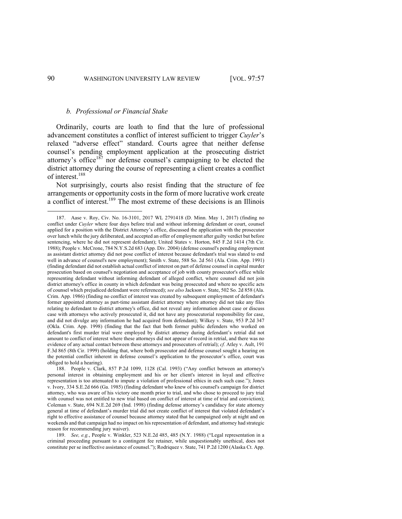### *b. Professional or Financial Stake*

Ordinarily, courts are loath to find that the lure of professional advancement constitutes a conflict of interest sufficient to trigger *Cuyler*'s relaxed "adverse effect" standard. Courts agree that neither defense counsel's pending employment application at the prosecuting district attorney's office<sup>187</sup> nor defense counsel's campaigning to be elected the district attorney during the course of representing a client creates a conflict of interest.188

Not surprisingly, courts also resist finding that the structure of fee arrangements or opportunity costs in the form of more lucrative work create a conflict of interest.189 The most extreme of these decisions is an Illinois

<sup>187.</sup> Aase v. Roy, Civ. No. 16-3101, 2017 WL 2791418 (D. Minn. May 1, 2017) (finding no conflict under *Cuyler* where four days before trial and without informing defendant or court, counsel applied for a position with the District Attorney's office, discussed the application with the prosecutor over lunch while the jury deliberated, and accepted an offer of employment after guilty verdict but before sentencing, where he did not represent defendant); United States v. Horton, 845 F.2d 1414 (7th Cir. 1988); People v. McCrone, 784 N.Y.S.2d 683 (App. Div. 2004) (defense counsel's pending employment as assistant district attorney did not pose conflict of interest because defendant's trial was slated to end well in advance of counsel's new employment); Smith v. State, 588 So. 2d 561 (Ala. Crim. App. 1991) (finding defendant did not establish actual conflict of interest on part of defense counsel in capital murder prosecution based on counsel's negotiation and acceptance of job with county prosecutor's office while representing defendant without informing defendant of alleged conflict, where counsel did not join district attorney's office in county in which defendant was being prosecuted and where no specific acts of counsel which prejudiced defendant were referenced); *see also* Jackson v. State, 502 So. 2d 858 (Ala. Crim. App. 1986) (finding no conflict of interest was created by subsequent employment of defendant's former appointed attorney as part-time assistant district attorney where attorney did not take any files relating to defendant to district attorney's office, did not reveal any information about case or discuss case with attorneys who actively prosecuted it, did not have any prosecutorial responsibility for case, and did not divulge any information he had acquired from defendant); Wilkey v. State, 953 P.2d 347 (Okla. Crim. App. 1998) (finding that the fact that both former public defenders who worked on defendant's first murder trial were employed by district attorney during defendant's retrial did not amount to conflict of interest where these attorneys did not appear of record in retrial, and there was no evidence of any actual contact between these attorneys and prosecutors of retrial); *cf.* Atley v. Ault, 191 F.3d 865 (8th Cir. 1999) (holding that, where both prosecutor and defense counsel sought a hearing on the potential conflict inherent in defense counsel's application to the prosecutor's office, court was obliged to hold a hearing).

<sup>188.</sup> People v. Clark, 857 P.2d 1099, 1128 (Cal. 1993) ("Any conflict between an attorney's personal interest in obtaining employment and his or her client's interest in loyal and effective representation is too attenuated to impute a violation of professional ethics in each such case."); Jones v. Ivory, 334 S.E.2d 666 (Ga. 1985) (finding defendant who knew of his counsel's campaign for district attorney, who was aware of his victory one month prior to trial, and who chose to proceed to jury trial with counsel was not entitled to new trial based on conflict of interest at time of trial and conviction); Coleman v. State, 694 N.E.2d 269 (Ind. 1998) (finding defense attorney's candidacy for state attorney general at time of defendant's murder trial did not create conflict of interest that violated defendant's right to effective assistance of counsel because attorney stated that he campaigned only at night and on weekends and that campaign had no impact on his representation of defendant, and attorney had strategic reason for recommending jury waiver).

<sup>189.</sup> *See, e.g.*, People v. Winkler, 523 N.E.2d 485, 485 (N.Y. 1988) ("Legal representation in a criminal proceeding pursuant to a contingent fee retainer, while unquestionably unethical, does not constitute per se ineffective assistance of counsel."); Rodriquez v. State, 741 P.2d 1200 (Alaska Ct. App.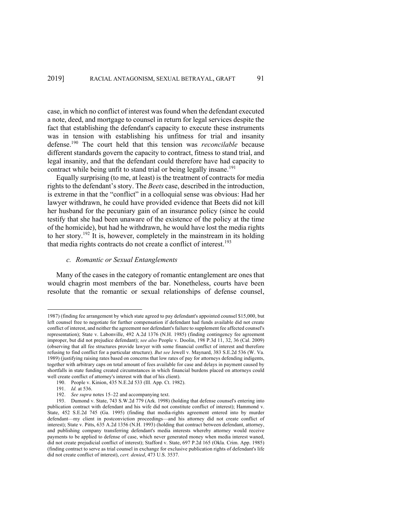case, in which no conflict of interest was found when the defendant executed a note, deed, and mortgage to counsel in return for legal services despite the fact that establishing the defendant's capacity to execute these instruments was in tension with establishing his unfitness for trial and insanity defense.190 The court held that this tension was *reconcilable* because different standards govern the capacity to contract, fitness to stand trial, and legal insanity, and that the defendant could therefore have had capacity to contract while being unfit to stand trial or being legally insane.<sup>191</sup>

Equally surprising (to me, at least) is the treatment of contracts for media rights to the defendant's story. The *Beets* case, described in the introduction, is extreme in that the "conflict" in a colloquial sense was obvious: Had her lawyer withdrawn, he could have provided evidence that Beets did not kill her husband for the pecuniary gain of an insurance policy (since he could testify that she had been unaware of the existence of the policy at the time of the homicide), but had he withdrawn, he would have lost the media rights to her story.<sup>192</sup> It is, however, completely in the mainstream in its holding that media rights contracts do not create a conflict of interest.<sup>193</sup>

# *c. Romantic or Sexual Entanglements*

Many of the cases in the category of romantic entanglement are ones that would chagrin most members of the bar. Nonetheless, courts have been resolute that the romantic or sexual relationships of defense counsel,

<sup>1987) (</sup>finding fee arrangement by which state agreed to pay defendant's appointed counsel \$15,000, but left counsel free to negotiate for further compensation if defendant had funds available did not create conflict of interest, and neither the agreement nor defendant's failure to supplement fee affected counsel's representation); State v. Labonville, 492 A.2d 1376 (N.H. 1985) (finding contingency fee agreement improper, but did not prejudice defendant); *see also* People v. Doolin, 198 P.3d 11, 32, 36 (Cal. 2009) (observing that all fee structures provide lawyer with some financial conflict of interest and therefore refusing to find conflict for a particular structure). *But see* Jewell v. Maynard, 383 S.E.2d 536 (W. Va. 1989) (justifying raising rates based on concerns that low rates of pay for attorneys defending indigents, together with arbitrary caps on total amount of fees available for case and delays in payment caused by shortfalls in state funding created circumstances in which financial burdens placed on attorneys could well create conflict of attorney's interest with that of his client).

<sup>190.</sup> People v. Kinion, 435 N.E.2d 533 (Ill. App. Ct. 1982).

<sup>191.</sup> *Id.* at 536.

<sup>192.</sup> *See supra* notes 15–22 and accompanying text.

<sup>193.</sup> Dumond v. State, 743 S.W.2d 779 (Ark. 1998) (holding that defense counsel's entering into publication contract with defendant and his wife did not constitute conflict of interest); Hammond v. State, 452 S.E.2d 745 (Ga. 1995) (finding that media-rights agreement entered into by murder defendant—my client in postconviction proceedings—and his attorney did not create conflict of interest); State v. Pitts, 635 A.2d 1356 (N.H. 1993) (holding that contract between defendant, attorney, and publishing company transferring defendant's media interests whereby attorney would receive payments to be applied to defense of case, which never generated money when media interest waned, did not create prejudicial conflict of interest); Stafford v. State, 697 P.2d 165 (Okla. Crim. App. 1985) (finding contract to serve as trial counsel in exchange for exclusive publication rights of defendant's life did not create conflict of interest), *cert. denied*, 473 U.S. 3537.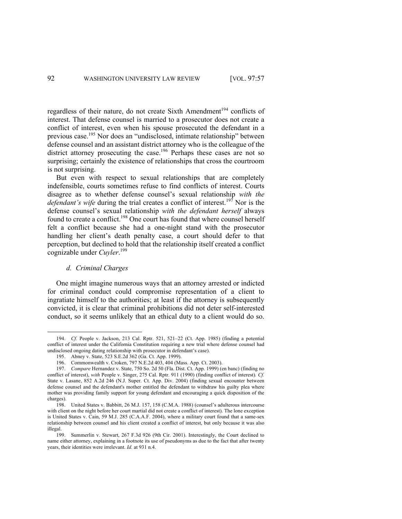regardless of their nature, do not create Sixth Amendment<sup>194</sup> conflicts of interest. That defense counsel is married to a prosecutor does not create a conflict of interest, even when his spouse prosecuted the defendant in a previous case. <sup>195</sup> Nor does an "undisclosed, intimate relationship" between defense counsel and an assistant district attorney who is the colleague of the district attorney prosecuting the case.<sup>196</sup> Perhaps these cases are not so surprising; certainly the existence of relationships that cross the courtroom is not surprising.

But even with respect to sexual relationships that are completely indefensible, courts sometimes refuse to find conflicts of interest. Courts disagree as to whether defense counsel's sexual relationship *with the defendant's wife* during the trial creates a conflict of interest.<sup>197</sup> Nor is the defense counsel's sexual relationship *with the defendant herself* always found to create a conflict.<sup>198</sup> One court has found that where counsel herself felt a conflict because she had a one-night stand with the prosecutor handling her client's death penalty case, a court should defer to that perception, but declined to hold that the relationship itself created a conflict cognizable under *Cuyler*. 199

# *d. Criminal Charges*

One might imagine numerous ways that an attorney arrested or indicted for criminal conduct could compromise representation of a client to ingratiate himself to the authorities; at least if the attorney is subsequently convicted, it is clear that criminal prohibitions did not deter self-interested conduct, so it seems unlikely that an ethical duty to a client would do so.

<sup>194.</sup> *Cf.* People v. Jackson, 213 Cal. Rptr. 521, 521–22 (Ct. App. 1985) (finding a potential conflict of interest under the California Constitution requiring a new trial where defense counsel had undisclosed ongoing dating relationship with prosecutor in defendant's case).

<sup>195.</sup> Abney v. State, 523 S.E.2d 362 (Ga. Ct. App. 1999).

<sup>196.</sup> Commonwealth v. Croken, 797 N.E.2d 403, 404 (Mass. App. Ct. 2003).

<sup>197.</sup> *Compare* Hernandez v. State, 750 So. 2d 50 (Fla. Dist. Ct. App. 1999) (en banc) (finding no conflict of interest), *with* People v. Singer, 275 Cal. Rptr. 911 (1990) (finding conflict of interest)*. Cf.*  State v. Lasane, 852 A.2d 246 (N.J. Super. Ct. App. Div. 2004) (finding sexual encounter between defense counsel and the defendant's mother entitled the defendant to withdraw his guilty plea where mother was providing family support for young defendant and encouraging a quick disposition of the charges).

<sup>198.</sup> United States v. Babbitt, 26 M.J. 157, 158 (C.M.A. 1988) (counsel's adulterous intercourse with client on the night before her court martial did not create a conflict of interest). The lone exception is United States v. Cain, 59 M.J. 285 (C.A.A.F. 2004), where a military court found that a same-sex relationship between counsel and his client created a conflict of interest, but only because it was also illegal.

<sup>199.</sup> Summerlin v. Stewart, 267 F.3d 926 (9th Cir. 2001). Interestingly, the Court declined to name either attorney, explaining in a footnote its use of pseudonyms as due to the fact that after twenty years, their identities were irrelevant. *Id.* at 931 n.4.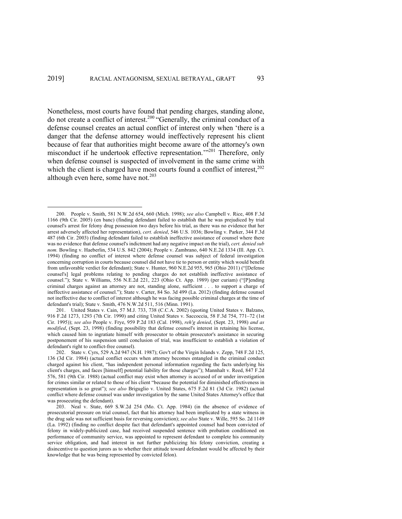Nonetheless, most courts have found that pending charges, standing alone, do not create a conflict of interest.200 "Generally, the criminal conduct of a defense counsel creates an actual conflict of interest only when 'there is a danger that the defense attorney would ineffectively represent his client because of fear that authorities might become aware of the attorney's own misconduct if he undertook effective representation."<sup>201</sup> Therefore, only when defense counsel is suspected of involvement in the same crime with which the client is charged have most courts found a conflict of interest,<sup>202</sup> although even here, some have not. $203$ 

<sup>200.</sup> People v. Smith, 581 N.W.2d 654, 660 (Mich. 1998); *see also* Campbell v. Rice, 408 F.3d 1166 (9th Cir. 2005) (en banc) (finding defendant failed to establish that he was prejudiced by trial counsel's arrest for felony drug possession two days before his trial, as there was no evidence that her arrest adversely affected her representation), *cert. denied*, 546 U.S. 1036; Bowling v. Parker, 344 F.3d 487 (6th Cir. 2003) (finding defendant failed to establish ineffective assistance of counsel where there was no evidence that defense counsel's indictment had any negative impact on the trial), *cert. denied sub nom.* Bowling v. Haeberlin, 534 U.S. 842 (2004); People v. Zambrano, 640 N.E.2d 1334 (Ill. App. Ct. 1994) (finding no conflict of interest where defense counsel was subject of federal investigation concerning corruption in courts because counsel did not have tie to person or entity which would benefit from unfavorable verdict for defendant); State v. Hunter, 960 N.E.2d 955, 965 (Ohio 2011) ("[Defense counsel's] legal problems relating to pending charges do not establish ineffective assistance of counsel."); State v. Williams, 556 N.E.2d 221, 223 (Ohio Ct. App. 1989) (per curiam) ("[P]ending criminal charges against an attorney are not, standing alone, sufficient . . . to support a charge of ineffective assistance of counsel."); State v. Carter, 84 So. 3d 499 (La. 2012) (finding defense counsel not ineffective due to conflict of interest although he was facing possible criminal charges at the time of defendant's trial); State v. Smith, 476 N.W.2d 511, 516 (Minn. 1991).

<sup>201.</sup> United States v. Cain, 57 M.J. 733, 738 (C.C.A. 2002) (quoting United States v. Balzano, 916 F.2d 1273, 1293 (7th Cir. 1990) and citing United States v. Saccoccia, 58 F.3d 754, 771–72 (1st Cir. 1995)); *see also* People v. Frye, 959 P.2d 183 (Cal. 1998), *reh'g denied*, (Sept. 23, 1998) *and as modified*, (Sept. 23, 1998) (finding possibility that defense counsel's interest in retaining his license, which caused him to ingratiate himself with prosecutor to obtain prosecutor's assistance in securing postponement of his suspension until conclusion of trial, was insufficient to establish a violation of defendant's right to conflict-free counsel).

<sup>202.</sup> State v. Cyrs, 529 A.2d 947 (N.H. 1987); Gov't of the Virgin Islands v. Zepp, 748 F.2d 125, 136 (3d Cir. 1984) (actual conflict occurs when attorney becomes entangled in the criminal conduct charged against his client, "has independent personal information regarding the facts underlying his client's charges, and faces [himself] potential liability for those charges"); Mannhalt v. Reed, 847 F.2d 576, 581 (9th Cir. 1988) (actual conflict may exist when attorney is accused of or under investigation for crimes similar or related to those of his client "because the potential for diminished effectiveness in representation is so great"); *see also* Briguglio v. United States, 675 F.2d 81 (3d Cir. 1982) (actual conflict where defense counsel was under investigation by the same United States Attorney's office that was prosecuting the defendant).

<sup>203.</sup> Neal v. State, 669 S.W.2d 254 (Mo. Ct. App. 1984) (in the absence of evidence of prosecutorial pressure on trial counsel, fact that his attorney had been implicated by a state witness in the drug sale was not sufficient basis for reversing conviction); *see also* State v. Wille, 595 So. 2d 1149 (La. 1992) (finding no conflict despite fact that defendant's appointed counsel had been convicted of felony in widely-publicized case, had received suspended sentence with probation conditioned on performance of community service, was appointed to represent defendant to complete his community service obligation, and had interest in not further publicizing his felony conviction, creating a disincentive to question jurors as to whether their attitude toward defendant would be affected by their knowledge that he was being represented by convicted felon).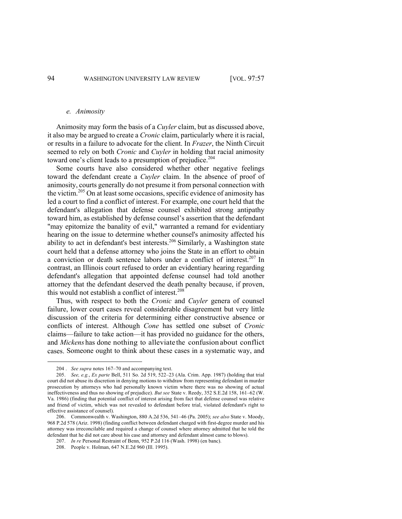#### *e. Animosity*

Animosity may form the basis of a *Cuyler* claim, but as discussed above, it also may be argued to create a *Cronic* claim, particularly where it is racial, or results in a failure to advocate for the client. In *Frazer*, the Ninth Circuit seemed to rely on both *Cronic* and *Cuyler* in holding that racial animosity toward one's client leads to a presumption of prejudice.<sup>204</sup>

Some courts have also considered whether other negative feelings toward the defendant create a *Cuyler* claim. In the absence of proof of animosity, courts generally do not presume it from personal connection with the victim.<sup>205</sup> On at least some occasions, specific evidence of animosity has led a court to find a conflict of interest. For example, one court held that the defendant's allegation that defense counsel exhibited strong antipathy toward him, as established by defense counsel's assertion that the defendant "may epitomize the banality of evil," warranted a remand for evidentiary hearing on the issue to determine whether counsel's animosity affected his ability to act in defendant's best interests. <sup>206</sup> Similarly, a Washington state court held that a defense attorney who joins the State in an effort to obtain a conviction or death sentence labors under a conflict of interest. <sup>207</sup> In contrast, an Illinois court refused to order an evidentiary hearing regarding defendant's allegation that appointed defense counsel had told another attorney that the defendant deserved the death penalty because, if proven, this would not establish a conflict of interest.<sup>208</sup>

Thus, with respect to both the *Cronic* and *Cuyler* genera of counsel failure, lower court cases reveal considerable disagreement but very little discussion of the criteria for determining either constructive absence or conflicts of interest. Although *Cone* has settled one subset of *Cronic* claims—failure to take action—it has provided no guidance for the others, and *Mickens* has done nothing to alleviate the confusion about conflict cases. Someone ought to think about these cases in a systematic way, and

<sup>204</sup> . *See supra* notes 167–70 and accompanying text.

<sup>205.</sup> *See, e.g.*, *Ex parte* Bell, 511 So. 2d 519, 522–23 (Ala. Crim. App. 1987) (holding that trial court did not abuse its discretion in denying motions to withdraw from representing defendant in murder prosecution by attorneys who had personally known victim where there was no showing of actual ineffectiveness and thus no showing of prejudice). *But see* State v. Reedy, 352 S.E.2d 158, 161–62 (W. Va. 1986) (finding that potential conflict of interest arising from fact that defense counsel was relative and friend of victim, which was not revealed to defendant before trial, violated defendant's right to effective assistance of counsel).

<sup>206.</sup> Commonwealth v. Washington, 880 A.2d 536, 541–46 (Pa. 2005); *see also* State v. Moody, 968 P.2d 578 (Ariz. 1998) (finding conflict between defendant charged with first-degree murder and his attorney was irreconcilable and required a change of counsel where attorney admitted that he told the defendant that he did not care about his case and attorney and defendant almost came to blows).

<sup>207.</sup> *In re* Personal Restraint of Benn, 952 P.2d 116 (Wash. 1998) (en banc).

<sup>208.</sup> People v. Holman, 647 N.E.2d 960 (Ill. 1995).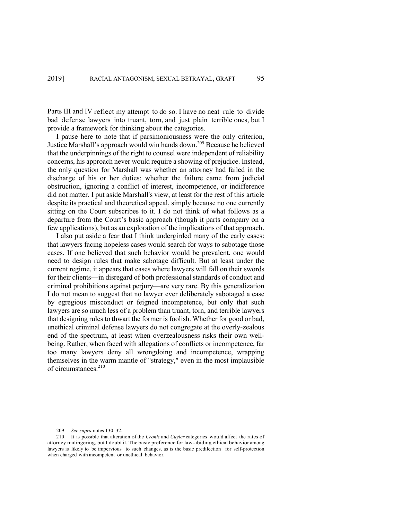Parts III and IV reflect my attempt to do so. I have no neat rule to divide bad defense lawyers into truant, torn, and just plain terrible ones, but I provide a framework for thinking about the categories.

I pause here to note that if parsimoniousness were the only criterion, Justice Marshall's approach would win hands down.<sup>209</sup> Because he believed that the underpinnings of the right to counsel were independent of reliability concerns, his approach never would require a showing of prejudice. Instead, the only question for Marshall was whether an attorney had failed in the discharge of his or her duties; whether the failure came from judicial obstruction, ignoring a conflict of interest, incompetence, or indifference did not matter. I put aside Marshall's view, at least for the rest of this article despite its practical and theoretical appeal, simply because no one currently sitting on the Court subscribes to it. I do not think of what follows as a departure from the Court's basic approach (though it parts company on a few applications), but as an exploration of the implications of that approach.

I also put aside a fear that I think undergirded many of the early cases: that lawyers facing hopeless cases would search for ways to sabotage those cases. If one believed that such behavior would be prevalent, one would need to design rules that make sabotage difficult. But at least under the current regime, it appears that cases where lawyers will fall on their swords for their clients—in disregard of both professional standards of conduct and criminal prohibitions against perjury—are very rare. By this generalization I do not mean to suggest that no lawyer ever deliberately sabotaged a case by egregious misconduct or feigned incompetence, but only that such lawyers are so much less of a problem than truant, torn, and terrible lawyers that designing rules to thwart the former is foolish. Whether for good or bad, unethical criminal defense lawyers do not congregate at the overly-zealous end of the spectrum, at least when overzealousness risks their own wellbeing. Rather, when faced with allegations of conflicts or incompetence, far too many lawyers deny all wrongdoing and incompetence, wrapping themselves in the warm mantle of "strategy," even in the most implausible of circumstances.<sup>210</sup>

<sup>209.</sup> *See supra* notes 130–32.

<sup>210.</sup> It is possible that alteration ofthe *Cronic* and *Cuyler* categories would affect the rates of attorney malingering, but I doubt it. The basic preference for law-abiding ethical behavior among lawyers is likely to be impervious to such changes, as is the basic predilection for self-protection when charged with incompetent or unethical behavior.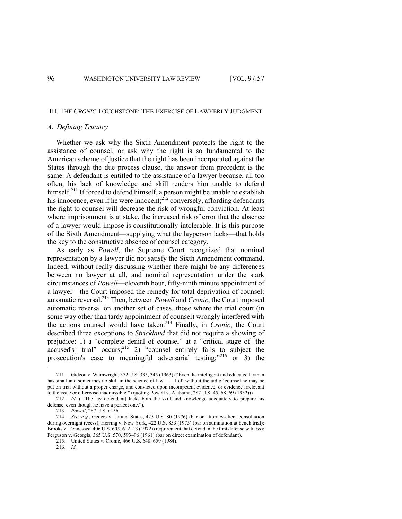#### III. THE *CRONIC* TOUCHSTONE: THE EXERCISE OF LAWYERLY JUDGMENT

# *A. Defining Truancy*

Whether we ask why the Sixth Amendment protects the right to the assistance of counsel, or ask why the right is so fundamental to the American scheme of justice that the right has been incorporated against the States through the due process clause, the answer from precedent is the same. A defendant is entitled to the assistance of a lawyer because, all too often, his lack of knowledge and skill renders him unable to defend himself.<sup>211</sup> If forced to defend himself, a person might be unable to establish his innocence, even if he were innocent;<sup>212</sup> conversely, affording defendants the right to counsel will decrease the risk of wrongful conviction. At least where imprisonment is at stake, the increased risk of error that the absence of a lawyer would impose is constitutionally intolerable. It is this purpose of the Sixth Amendment—supplying what the layperson lacks—that holds the key to the constructive absence of counsel category.

As early as *Powell*, the Supreme Court recognized that nominal representation by a lawyer did not satisfy the Sixth Amendment command. Indeed, without really discussing whether there might be any differences between no lawyer at all, and nominal representation under the stark circumstances of *Powell*—eleventh hour, fifty-ninth minute appointment of a lawyer—the Court imposed the remedy for total deprivation of counsel: automatic reversal.213 Then, between *Powell* and *Cronic*, the Court imposed automatic reversal on another set of cases, those where the trial court (in some way other than tardy appointment of counsel) wrongly interfered with the actions counsel would have taken.<sup>214</sup> Finally, in *Cronic*, the Court described three exceptions to *Strickland* that did not require a showing of prejudice: 1) a "complete denial of counsel" at a "critical stage of [the accused's] trial"  $occurs;^{215}$  2) "counsel entirely fails to subject the prosecution's case to meaningful adversarial testing;"<sup>216</sup> or 3) the

<sup>211.</sup> Gideon v. Wainwright, 372 U.S. 335, 345 (1963) ("Even the intelligent and educated layman has small and sometimes no skill in the science of law. . . . Left without the aid of counsel he may be put on trial without a proper charge, and convicted upon incompetent evidence, or evidence irrelevant to the issue or otherwise inadmissible." (quoting Powell v. Alabama, 287 U.S. 45, 68–69 (1932))).

<sup>212.</sup> *Id.* ("[The lay defendant] lacks both the skill and knowledge adequately to prepare his defense, even though he have a perfect one.").

<sup>213.</sup> *Powell*, 287 U.S. at 56.

<sup>214.</sup> *See, e.g.*, Geders v. United States, 425 U.S. 80 (1976) (bar on attorney-client consultation during overnight recess); Herring v. New York, 422 U.S. 853 (1975) (bar on summation at bench trial); Brooks v. Tennessee, 406 U.S. 605, 612–13 (1972) (requirement that defendant be first defense witness); Ferguson v. Georgia, 365 U.S. 570, 593–96 (1961) (bar on direct examination of defendant).

<sup>215.</sup> United States v. Cronic, 466 U.S. 648, 659 (1984).

<sup>216.</sup> *Id.*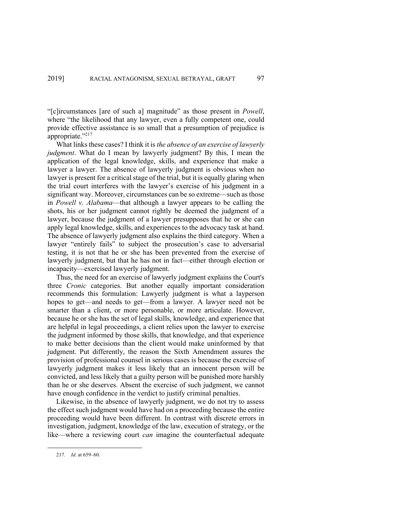"[c]ircumstances [are of such a] magnitude" as those present in *Powell*, where "the likelihood that any lawyer, even a fully competent one, could provide effective assistance is so small that a presumption of prejudice is appropriate."<sup>217</sup>

What links these cases? I think it is *the absence of an exercise of lawyerly judgment*. What do I mean by lawyerly judgment? By this, I mean the application of the legal knowledge, skills, and experience that make a lawyer a lawyer. The absence of lawyerly judgment is obvious when no lawyer is present for a critical stage of the trial, but it is equally glaring when the trial court interferes with the lawyer's exercise of his judgment in a significant way. Moreover, circumstances can be so extreme—such as those in *Powell v. Alabama*—that although a lawyer appears to be calling the shots, his or her judgment cannot rightly be deemed the judgment of a lawyer, because the judgment of a lawyer presupposes that he or she can apply legal knowledge, skills, and experiences to the advocacy task at hand. The absence of lawyerly judgment also explains the third category. When a lawyer "entirely fails" to subject the prosecution's case to adversarial testing, it is not that he or she has been prevented from the exercise of lawyerly judgment, but that he has not in fact—either through election or incapacity—exercised lawyerly judgment.

Thus, the need for an exercise of lawyerly judgment explains the Court's three *Cronic* categories. But another equally important consideration recommends this formulation: Lawyerly judgment is what a layperson hopes to get—and needs to get—from a lawyer. A lawyer need not be smarter than a client, or more personable, or more articulate. However, because he or she has the set of legal skills, knowledge, and experience that are helpful in legal proceedings, a client relies upon the lawyer to exercise the judgment informed by those skills, that knowledge, and that experience to make better decisions than the client would make uninformed by that judgment. Put differently, the reason the Sixth Amendment assures the provision of professional counsel in serious cases is because the exercise of lawyerly judgment makes it less likely that an innocent person will be convicted, and less likely that a guilty person will be punished more harshly than he or she deserves. Absent the exercise of such judgment, we cannot have enough confidence in the verdict to justify criminal penalties.

Likewise, in the absence of lawyerly judgment, we do not try to assess the effect such judgment would have had on a proceeding because the entire proceeding would have been different. In contrast with discrete errors in investigation, judgment, knowledge of the law, execution of strategy, or the like—where a reviewing court *can* imagine the counterfactual adequate

<sup>217.</sup> *Id.* at 659–60.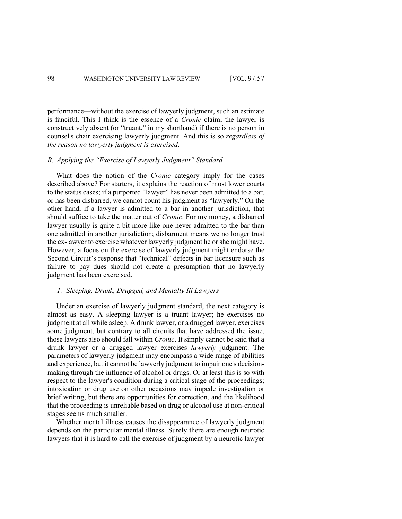performance—without the exercise of lawyerly judgment, such an estimate is fanciful. This I think is the essence of a *Cronic* claim; the lawyer is constructively absent (or "truant," in my shorthand) if there is no person in counsel's chair exercising lawyerly judgment. And this is so *regardless of the reason no lawyerly judgment is exercised*.

# *B. Applying the "Exercise of Lawyerly Judgment" Standard*

What does the notion of the *Cronic* category imply for the cases described above? For starters, it explains the reaction of most lower courts to the status cases; if a purported "lawyer" has never been admitted to a bar, or has been disbarred, we cannot count his judgment as "lawyerly." On the other hand, if a lawyer is admitted to a bar in another jurisdiction, that should suffice to take the matter out of *Cronic*. For my money, a disbarred lawyer usually is quite a bit more like one never admitted to the bar than one admitted in another jurisdiction; disbarment means we no longer trust the ex-lawyer to exercise whatever lawyerly judgment he or she might have. However, a focus on the exercise of lawyerly judgment might endorse the Second Circuit's response that "technical" defects in bar licensure such as failure to pay dues should not create a presumption that no lawyerly judgment has been exercised.

#### *1. Sleeping, Drunk, Drugged, and Mentally Ill Lawyers*

Under an exercise of lawyerly judgment standard, the next category is almost as easy. A sleeping lawyer is a truant lawyer; he exercises no judgment at all while asleep. A drunk lawyer, or a drugged lawyer, exercises some judgment, but contrary to all circuits that have addressed the issue, those lawyers also should fall within *Cronic*. It simply cannot be said that a drunk lawyer or a drugged lawyer exercises *lawyerly* judgment. The parameters of lawyerly judgment may encompass a wide range of abilities and experience, but it cannot be lawyerly judgment to impair one's decisionmaking through the influence of alcohol or drugs. Or at least this is so with respect to the lawyer's condition during a critical stage of the proceedings; intoxication or drug use on other occasions may impede investigation or brief writing, but there are opportunities for correction, and the likelihood that the proceeding is unreliable based on drug or alcohol use at non-critical stages seems much smaller.

Whether mental illness causes the disappearance of lawyerly judgment depends on the particular mental illness. Surely there are enough neurotic lawyers that it is hard to call the exercise of judgment by a neurotic lawyer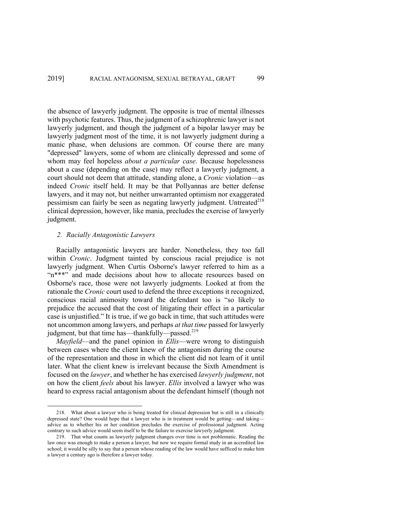the absence of lawyerly judgment. The opposite is true of mental illnesses with psychotic features. Thus, the judgment of a schizophrenic lawyer is not lawyerly judgment, and though the judgment of a bipolar lawyer may be lawyerly judgment most of the time, it is not lawyerly judgment during a manic phase, when delusions are common. Of course there are many "depressed" lawyers, some of whom are clinically depressed and some of whom may feel hopeless *about a particular case*. Because hopelessness about a case (depending on the case) may reflect a lawyerly judgment, a court should not deem that attitude, standing alone, a *Cronic* violation—as indeed *Cronic* itself held. It may be that Pollyannas are better defense lawyers, and it may not, but neither unwarranted optimism nor exaggerated pessimism can fairly be seen as negating lawyerly judgment. Untreated  $2^{18}$ clinical depression, however, like mania, precludes the exercise of lawyerly judgment.

### *2. Racially Antagonistic Lawyers*

Racially antagonistic lawyers are harder. Nonetheless, they too fall within *Cronic*. Judgment tainted by conscious racial prejudice is not lawyerly judgment. When Curtis Osborne's lawyer referred to him as a "n\*\*\*" and made decisions about how to allocate resources based on Osborne's race, those were not lawyerly judgments. Looked at from the rationale the *Cronic* court used to defend the three exceptions it recognized, conscious racial animosity toward the defendant too is "so likely to prejudice the accused that the cost of litigating their effect in a particular case is unjustified." It is true, if we go back in time, that such attitudes were not uncommon among lawyers, and perhaps *at that time* passed for lawyerly judgment, but that time has—thankfully—passed.<sup>219</sup>

*Mayfield*—and the panel opinion in *Ellis*—were wrong to distinguish between cases where the client knew of the antagonism during the course of the representation and those in which the client did not learn of it until later. What the client knew is irrelevant because the Sixth Amendment is focused on the *lawyer*, and whether he has exercised *lawyerly judgment*, not on how the client *feels* about his lawyer. *Ellis* involved a lawyer who was heard to express racial antagonism about the defendant himself (though not

<sup>218.</sup> What about a lawyer who is being treated for clinical depression but is still in a clinically depressed state? One would hope that a lawyer who is in treatment would be getting—and taking advice as to whether his or her condition precludes the exercise of professional judgment. Acting contrary to such advice would seem itself to be the failure to exercise lawyerly judgment.

<sup>219.</sup> That what counts as lawyerly judgment changes over time is not problematic. Reading the law once was enough to make a person a lawyer, but now we require formal study in an accredited law school; it would be silly to say that a person whose reading of the law would have sufficed to make him a lawyer a century ago is therefore a lawyer today.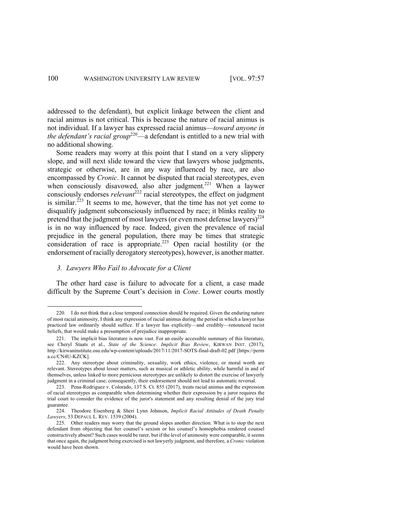addressed to the defendant), but explicit linkage between the client and racial animus is not critical. This is because the nature of racial animus is not individual. If a lawyer has expressed racial animus—*toward anyone in the defendant's racial group*<sup>220</sup>—a defendant is entitled to a new trial with no additional showing.

Some readers may worry at this point that I stand on a very slippery slope, and will next slide toward the view that lawyers whose judgments, strategic or otherwise, are in any way influenced by race, are also encompassed by *Cronic*. It cannot be disputed that racial stereotypes, even when consciously disavowed, also alter judgment.<sup>221</sup> When a laywer consciously endorses *relevant*<sup>222</sup> racial stereotypes, the effect on judgment is similar.<sup> $223$ </sup> It seems to me, however, that the time has not yet come to disqualify judgment subconsciously influenced by race; it blinks reality to pretend that the judgment of most lawyers (or even most defense lawyers)<sup>224</sup> is in no way influenced by race. Indeed, given the prevalence of racial prejudice in the general population, there may be times that strategic consideration of race is appropriate.<sup>225</sup> Open racial hostility (or the endorsement of racially derogatory stereotypes), however, is another matter.

# *3. Lawyers Who Fail to Advocate for a Client*

The other hard case is failure to advocate for a client, a case made difficult by the Supreme Court's decision in *Cone*. Lower courts mostly

<sup>220.</sup> I do not think that a close temporal connection should be required. Given the enduring nature of most racial animosity, I think any expression of racial animus during the period in which a lawyer has practiced law ordinarily should suffice. If a lawyer has explicitly—and credibly—renounced racist beliefs, that would make a presumption of prejudice inappropriate.

<sup>221.</sup> The implicit bias literature is now vast. For an easily accessible summary of this literature, see Cheryl Staats et al., *State of the Science: Implicit Bias Review*, KIRWAN INST. (2017), http://kirwaninstitute.osu.edu/wp-content/uploads/2017/11/2017-SOTS-final-draft-02.pdf [https://perm a.cc/CN4U-KZCK].

<sup>222.</sup> Any stereotype about criminality, sexuality, work ethics, violence, or moral worth are relevant. Stereotypes about lesser matters, such as musical or athletic ability, while harmful in and of themselves, unless linked to more pernicious stereotypes are unlikely to distort the exercise of lawyerly judgment in a criminal case; consequently, their endorsement should not lead to automatic reversal.

<sup>223.</sup> Pena-Rodriguez v. Colorado, 137 S. Ct. 855 (2017), treats racial animus and the expression of racial stereotypes as comparable when determining whether their expression by a juror requires the trial court to consider the evidence of the juror's statement and any resulting denial of the jury trial guarantee.

<sup>224.</sup> Theodore Eisenberg & Sheri Lynn Johnson, *Implicit Racial Attitudes of Death Penalty Lawyers*, 53 DEPAUL L. REV. 1539 (2004).

<sup>225.</sup> Other readers may worry that the ground slopes another direction. What is to stop the next defendant from objecting that her counsel's sexism or his counsel's homophobia rendered counsel constructively absent? Such cases would be rarer, but if the level of animosity were comparable, it seems that once again, the judgment being exercised is not lawyerly judgment, and therefore, a *Cronic* violation would have been shown.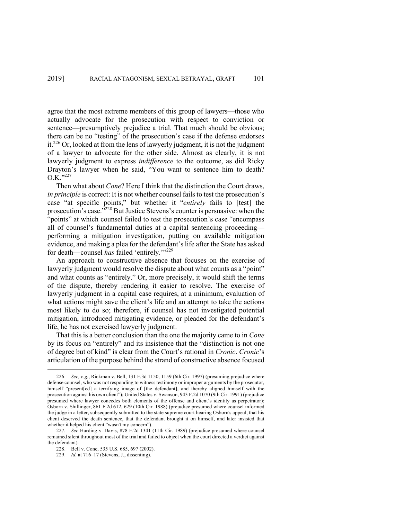agree that the most extreme members of this group of lawyers—those who actually advocate for the prosecution with respect to conviction or sentence—presumptively prejudice a trial. That much should be obvious; there can be no "testing" of the prosecution's case if the defense endorses it.<sup>226</sup> Or, looked at from the lens of lawyerly judgment, it is not the judgment of a lawyer to advocate for the other side. Almost as clearly, it is not lawyerly judgment to express *indifference* to the outcome, as did Ricky Drayton's lawyer when he said, "You want to sentence him to death?  $O.K.$ <sup>"227</sup>

Then what about *Cone*? Here I think that the distinction the Court draws, *in principle* is correct: It is not whether counsel fails to test the prosecution's case "at specific points," but whether it "*entirely* fails to [test] the prosecution's case."<sup>228</sup> But Justice Stevens's counter is persuasive: when the "points" at which counsel failed to test the prosecution's case "encompass" all of counsel's fundamental duties at a capital sentencing proceeding performing a mitigation investigation, putting on available mitigation evidence, and making a plea for the defendant's life after the State has asked for death—counsel has failed 'entirely.'"<sup>229</sup>

An approach to constructive absence that focuses on the exercise of lawyerly judgment would resolve the dispute about what counts as a "point" and what counts as "entirely." Or, more precisely, it would shift the terms of the dispute, thereby rendering it easier to resolve. The exercise of lawyerly judgment in a capital case requires, at a minimum, evaluation of what actions might save the client's life and an attempt to take the actions most likely to do so; therefore, if counsel has not investigated potential mitigation, introduced mitigating evidence, or pleaded for the defendant's life, he has not exercised lawyerly judgment.

That this is a better conclusion than the one the majority came to in *Cone* by its focus on "entirely" and its insistence that the "distinction is not one of degree but of kind" is clear from the Court's rational in *Cronic*. *Cronic*'s articulation of the purpose behind the strand of constructive absence focused

<sup>226.</sup> *See, e.g.*, Rickman v. Bell, 131 F.3d 1150, 1159 (6th Cir. 1997) (presuming prejudice where defense counsel, who was not responding to witness testimony or improper arguments by the prosecutor, himself "present[ed] a terrifying image of [the defendant], and thereby aligned himself with the prosecution against his own client"); United States v. Swanson, 943 F.2d 1070 (9th Cir. 1991) (prejudice presumed where lawyer concedes both elements of the offense and client's identity as perpetrator); Osborn v. Shillinger, 861 F.2d 612, 629 (10th Cir. 1988) (prejudice presumed where counsel informed the judge in a letter, subsequently submitted to the state supreme court hearing Osborn's appeal, that his client deserved the death sentence, that the defendant brought it on himself, and later insisted that whether it helped his client "wasn't my concern").

<sup>227</sup>*. See* Harding v. Davis, 878 F.2d 1341 (11th Cir. 1989) (prejudice presumed where counsel remained silent throughout most of the trial and failed to object when the court directed a verdict against the defendant).

<sup>228.</sup> Bell v. Cone, 535 U.S. 685, 697 (2002).

<sup>229.</sup> *Id.* at 716–17 (Stevens, J., dissenting).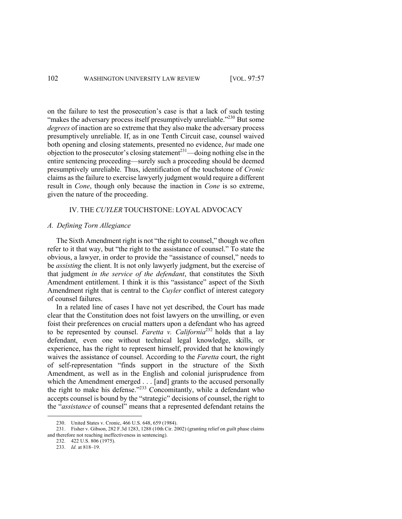on the failure to test the prosecution's case is that a lack of such testing "makes the adversary process itself presumptively unreliable."<sup>230</sup> But some *degrees* of inaction are so extreme that they also make the adversary process presumptively unreliable. If, as in one Tenth Circuit case, counsel waived both opening and closing statements, presented no evidence, *but* made one objection to the prosecutor's closing statement<sup>231</sup>—doing nothing else in the entire sentencing proceeding—surely such a proceeding should be deemed presumptively unreliable. Thus, identification of the touchstone of *Cronic* claims as the failure to exercise lawyerly judgment would require a different result in *Cone*, though only because the inaction in *Cone* is so extreme, given the nature of the proceeding.

# IV. THE *CUYLER* TOUCHSTONE: LOYAL ADVOCACY

# *A. Defining Torn Allegiance*

The Sixth Amendment right is not "the right to counsel," though we often refer to it that way, but "the right to the assistance of counsel." To state the obvious, a lawyer, in order to provide the "assistance of counsel," needs to be *assisting* the client. It is not only lawyerly judgment, but the exercise of that judgment *in the service of the defendant*, that constitutes the Sixth Amendment entitlement. I think it is this "assistance" aspect of the Sixth Amendment right that is central to the *Cuyler* conflict of interest category of counsel failures.

In a related line of cases I have not yet described, the Court has made clear that the Constitution does not foist lawyers on the unwilling, or even foist their preferences on crucial matters upon a defendant who has agreed to be represented by counsel. *Faretta v. California*<sup>232</sup> holds that a lay defendant, even one without technical legal knowledge, skills, or experience, has the right to represent himself, provided that he knowingly waives the assistance of counsel. According to the *Faretta* court, the right of self-representation "finds support in the structure of the Sixth Amendment, as well as in the English and colonial jurisprudence from which the Amendment emerged . . . [and] grants to the accused personally the right to make his defense." $233$  Concomitantly, while a defendant who accepts counsel is bound by the "strategic" decisions of counsel, the right to the "*assistance* of counsel" means that a represented defendant retains the

<sup>230.</sup> United States v. Cronic, 466 U.S. 648, 659 (1984).

<sup>231.</sup> Fisher v. Gibson, 282 F.3d 1283, 1288 (10th Cir. 2002) (granting relief on guilt phase claims and therefore not reaching ineffectiveness in sentencing).

<sup>232.</sup> 422 U.S. 806 (1975).

<sup>233.</sup> *Id.* at 818–19.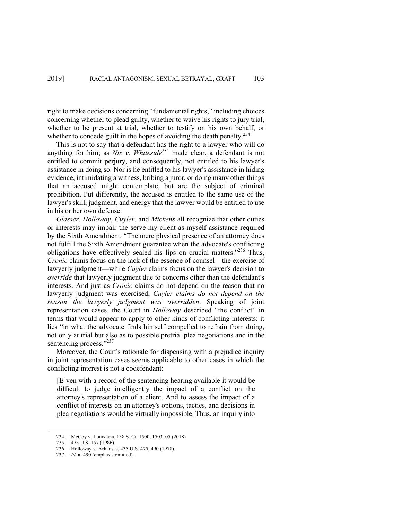right to make decisions concerning "fundamental rights," including choices concerning whether to plead guilty, whether to waive his rights to jury trial, whether to be present at trial, whether to testify on his own behalf, or whether to concede guilt in the hopes of avoiding the death penalty.<sup>234</sup>

This is not to say that a defendant has the right to a lawyer who will do anything for him; as *Nix v. Whiteside*<sup>235</sup> made clear, a defendant is not entitled to commit perjury, and consequently, not entitled to his lawyer's assistance in doing so. Nor is he entitled to his lawyer's assistance in hiding evidence, intimidating a witness, bribing a juror, or doing many other things that an accused might contemplate, but are the subject of criminal prohibition. Put differently, the accused is entitled to the same use of the lawyer's skill, judgment, and energy that the lawyer would be entitled to use in his or her own defense.

*Glasser*, *Holloway*, *Cuyler*, and *Mickens* all recognize that other duties or interests may impair the serve-my-client-as-myself assistance required by the Sixth Amendment. "The mere physical presence of an attorney does not fulfill the Sixth Amendment guarantee when the advocate's conflicting obligations have effectively sealed his lips on crucial matters."<sup>236</sup> Thus, *Cronic* claims focus on the lack of the essence of counsel—the exercise of lawyerly judgment—while *Cuyler* claims focus on the lawyer's decision to *override* that lawyerly judgment due to concerns other than the defendant's interests. And just as *Cronic* claims do not depend on the reason that no lawyerly judgment was exercised, *Cuyler claims do not depend on the reason the lawyerly judgment was overridden*. Speaking of joint representation cases, the Court in *Holloway* described "the conflict" in terms that would appear to apply to other kinds of conflicting interests: it lies "in what the advocate finds himself compelled to refrain from doing, not only at trial but also as to possible pretrial plea negotiations and in the sentencing process."<sup>237</sup>

Moreover, the Court's rationale for dispensing with a prejudice inquiry in joint representation cases seems applicable to other cases in which the conflicting interest is not a codefendant:

[E]ven with a record of the sentencing hearing available it would be difficult to judge intelligently the impact of a conflict on the attorney's representation of a client. And to assess the impact of a conflict of interests on an attorney's options, tactics, and decisions in plea negotiations would be virtually impossible. Thus, an inquiry into

<sup>234.</sup> McCoy v. Louisiana, 138 S. Ct. 1500, 1503–05 (2018).

<sup>235.</sup> 475 U.S. 157 (1986).

<sup>236.</sup> Holloway v. Arkansas, 435 U.S. 475, 490 (1978).

<sup>237.</sup> *Id.* at 490 (emphasis omitted).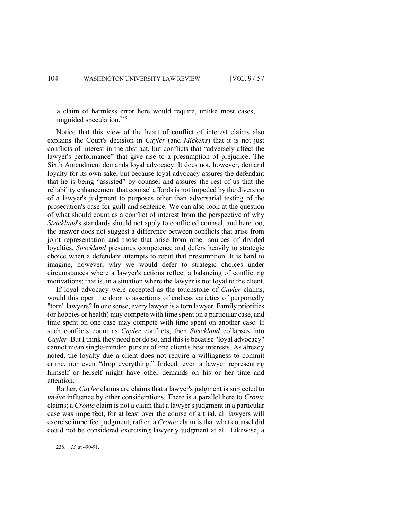a claim of harmless error here would require, unlike most cases, unguided speculation.238

Notice that this view of the heart of conflict of interest claims also explains the Court's decision in *Cuyler* (and *Mickens*) that it is not just conflicts of interest in the abstract, but conflicts that "adversely affect the lawyer's performance" that give rise to a presumption of prejudice. The Sixth Amendment demands loyal advocacy. It does not, however, demand loyalty for its own sake, but because loyal advocacy assures the defendant that he is being "assisted" by counsel and assures the rest of us that the reliability enhancement that counsel affords is not impeded by the diversion of a lawyer's judgment to purposes other than adversarial testing of the prosecution's case for guilt and sentence. We can also look at the question of what should count as a conflict of interest from the perspective of why *Strickland*'s standards should not apply to conflicted counsel, and here too, the answer does not suggest a difference between conflicts that arise from joint representation and those that arise from other sources of divided loyalties. *Strickland* presumes competence and defers heavily to strategic choice when a defendant attempts to rebut that presumption. It is hard to imagine, however, why we would defer to strategic choices under circumstances where a lawyer's actions reflect a balancing of conflicting motivations; that is, in a situation where the lawyer is not loyal to the client.

If loyal advocacy were accepted as the touchstone of *Cuyler* claims, would this open the door to assertions of endless varieties of purportedly "torn" lawyers? In one sense, every lawyer is a torn lawyer. Family priorities (or hobbies or health) may compete with time spent on a particular case, and time spent on one case may compete with time spent on another case. If such conflicts count as *Cuyler* conflicts, then *Strickland* collapses into *Cuyler*. But I think they need not do so, and this is because "loyal advocacy" cannot mean single-minded pursuit of one client's best interests. As already noted, the loyalty due a client does not require a willingness to commit crime, nor even "drop everything." Indeed, even a lawyer representing himself or herself might have other demands on his or her time and attention.

Rather, *Cuyler* claims are claims that a lawyer's judgment is subjected to *undue* influence by other considerations. There is a parallel here to *Cronic* claims; a *Cronic* claim is not a claim that a lawyer's judgment in a particular case was imperfect, for at least over the course of a trial, all lawyers will exercise imperfect judgment; rather, a *Cronic* claim is that what counsel did could not be considered exercising lawyerly judgment at all. Likewise, a

<sup>238.</sup> *Id.* at 490-91.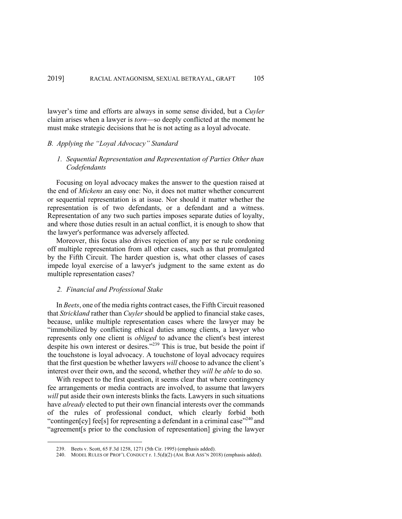lawyer's time and efforts are always in some sense divided, but a *Cuyler* claim arises when a lawyer is *torn*—so deeply conflicted at the moment he must make strategic decisions that he is not acting as a loyal advocate.

# *B. Applying the "Loyal Advocacy" Standard*

# *1. Sequential Representation and Representation of Parties Other than Codefendants*

Focusing on loyal advocacy makes the answer to the question raised at the end of *Mickens* an easy one: No, it does not matter whether concurrent or sequential representation is at issue. Nor should it matter whether the representation is of two defendants, or a defendant and a witness. Representation of any two such parties imposes separate duties of loyalty, and where those duties result in an actual conflict, it is enough to show that the lawyer's performance was adversely affected.

Moreover, this focus also drives rejection of any per se rule cordoning off multiple representation from all other cases, such as that promulgated by the Fifth Circuit. The harder question is, what other classes of cases impede loyal exercise of a lawyer's judgment to the same extent as do multiple representation cases?

#### *2. Financial and Professional Stake*

In *Beets*, one of the media rights contract cases, the Fifth Circuit reasoned that *Strickland* rather than *Cuyler* should be applied to financial stake cases, because, unlike multiple representation cases where the lawyer may be "immobilized by conflicting ethical duties among clients, a lawyer who represents only one client is *obliged* to advance the client's best interest despite his own interest or desires."<sup>239</sup> This is true, but beside the point if the touchstone is loyal advocacy. A touchstone of loyal advocacy requires that the first question be whether lawyers *will* choose to advance the client's interest over their own, and the second, whether they *will be able* to do so.

With respect to the first question, it seems clear that where contingency fee arrangements or media contracts are involved, to assume that lawyers *will* put aside their own interests blinks the facts. Lawyers in such situations have *already* elected to put their own financial interests over the commands of the rules of professional conduct, which clearly forbid both "contingen[cy] fee[s] for representing a defendant in a criminal case"<sup>240</sup> and "agreement[s prior to the conclusion of representation] giving the lawyer

<sup>239.</sup> Beets v. Scott, 65 F.3d 1258, 1271 (5th Cir. 1995) (emphasis added).

<sup>240.</sup> MODEL RULES OF PROF'L CONDUCT r. 1.5(d)(2) (AM. BAR ASS'N 2018) (emphasis added).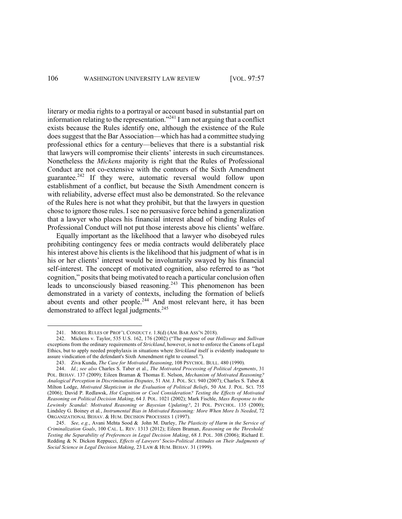literary or media rights to a portrayal or account based in substantial part on information relating to the representation."<sup>241</sup> I am not arguing that a conflict exists because the Rules identify one, although the existence of the Rule does suggest that the Bar Association—which has had a committee studying professional ethics for a century—believes that there is a substantial risk that lawyers will compromise their clients' interests in such circumstances. Nonetheless the *Mickens* majority is right that the Rules of Professional Conduct are not co-extensive with the contours of the Sixth Amendment guarantee.<sup>242</sup> If they were, automatic reversal would follow upon establishment of a conflict, but because the Sixth Amendment concern is with reliability, adverse effect must also be demonstrated. So the relevance of the Rules here is not what they prohibit, but that the lawyers in question chose to ignore those rules. I see no persuasive force behind a generalization that a lawyer who places his financial interest ahead of binding Rules of Professional Conduct will not put those interests above his clients' welfare.

Equally important as the likelihood that a lawyer who disobeyed rules prohibiting contingency fees or media contracts would deliberately place his interest above his clients is the likelihood that his judgment of what is in his or her clients' interest would be involuntarily swayed by his financial self-interest. The concept of motivated cognition, also referred to as "hot cognition," posits that being motivated to reach a particular conclusion often leads to unconsciously biased reasoning.<sup>243</sup> This phenomenon has been demonstrated in a variety of contexts, including the formation of beliefs about events and other people.<sup>244</sup> And most relevant here, it has been demonstrated to affect legal judgments.<sup>245</sup>

<sup>241.</sup> MODEL RULES OF PROF'L CONDUCT r. 1.8(d) (AM. BAR ASS'N 2018).

<sup>242.</sup> Mickens v. Taylor, 535 U.S. 162, 176 (2002) ("The purpose of our *Holloway* and *Sullivan* exceptions from the ordinary requirements of *Strickland*, however, is not to enforce the Canons of Legal Ethics, but to apply needed prophylaxis in situations where *Strickland* itself is evidently inadequate to assure vindication of the defendant's Sixth Amendment right to counsel.").

<sup>243.</sup> Ziva Kunda, *The Case for Motivated Reasoning*, 108 PSYCHOL. BULL. 480 (1990).

<sup>244.</sup> *Id.*; *see also* Charles S. Taber et al., *The Motivated Processing of Political Arguments*, 31 POL. BEHAV. 137 (2009); Eileen Braman & Thomas E. Nelson, *Mechanism of Motivated Reasoning? Analogical Perception in Discrimination Disputes*, 51 AM. J. POL. SCI. 940 (2007); Charles S. Taber & Milton Lodge, *Motivated Skepticism in the Evaluation of Political Beliefs*, 50 AM. J. POL. SCI. 755 (2006); David P. Redlawsk, *Hot Cognition or Cool Consideration? Testing the Effects of Motivated Reasoning on Political Decision Making*, 64 J. POL. 1021 (2002); Mark Fischle, *Mass Response to the Lewinsky Scandal: Motivated Reasoning or Bayesian Updating?*, 21 POL. PSYCHOL. 135 (2000); Lindsley G. Boiney et al*.*, *Instrumental Bias in Motivated Reasoning: More When More Is Needed*, 72 ORGANIZATIONAL BEHAV. & HUM. DECISION PROCESSES 1 (1997).

<sup>245.</sup> *See, e.g.*, Avani Mehta Sood & John M. Darley, *The Plasticity of Harm in the Service of Criminalization Goals*, 100 CAL. L. REV. 1313 (2012); Eileen Braman, *Reasoning on the Threshold: Testing the Separability of Preferences in Legal Decision Making*, 68 J. POL. 308 (2006); Richard E. Redding & N. Dickon Reppucci, *Effects of Lawyers' Socio-Political Attitudes on Their Judgments of Social Science in Legal Decision Making*, 23 LAW & HUM. BEHAV. 31 (1999).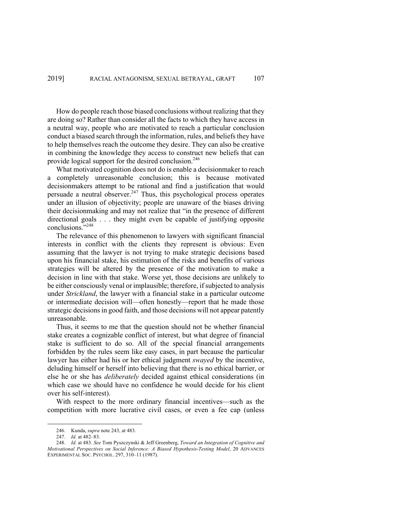How do people reach those biased conclusions without realizing that they are doing so? Rather than consider all the facts to which they have access in a neutral way, people who are motivated to reach a particular conclusion conduct a biased search through the information, rules, and beliefs they have to help themselves reach the outcome they desire. They can also be creative in combining the knowledge they access to construct new beliefs that can provide logical support for the desired conclusion.<sup>246</sup>

What motivated cognition does not do is enable a decisionmaker to reach a completely unreasonable conclusion; this is because motivated decisionmakers attempt to be rational and find a justification that would persuade a neutral observer. $247$  Thus, this psychological process operates under an illusion of objectivity; people are unaware of the biases driving their decisionmaking and may not realize that "in the presence of different directional goals . . . they might even be capable of justifying opposite conclusions."248

The relevance of this phenomenon to lawyers with significant financial interests in conflict with the clients they represent is obvious: Even assuming that the lawyer is not trying to make strategic decisions based upon his financial stake, his estimation of the risks and benefits of various strategies will be altered by the presence of the motivation to make a decision in line with that stake. Worse yet, those decisions are unlikely to be either consciously venal or implausible; therefore, if subjected to analysis under *Strickland*, the lawyer with a financial stake in a particular outcome or intermediate decision will—often honestly—report that he made those strategic decisions in good faith, and those decisions will not appear patently unreasonable.

Thus, it seems to me that the question should not be whether financial stake creates a cognizable conflict of interest, but what degree of financial stake is sufficient to do so. All of the special financial arrangements forbidden by the rules seem like easy cases, in part because the particular lawyer has either had his or her ethical judgment *swayed* by the incentive, deluding himself or herself into believing that there is no ethical barrier, or else he or she has *deliberately* decided against ethical considerations (in which case we should have no confidence he would decide for his client over his self-interest).

With respect to the more ordinary financial incentives—such as the competition with more lucrative civil cases, or even a fee cap (unless

<sup>246.</sup> Kunda, *supra* note 243, at 483.

<sup>247.</sup> *Id.* at 482–83.

<sup>248.</sup> *Id.* at 483. *See* Tom Pyszczynski & Jeff Greenberg, *Toward an Integration of Cognitive and Motivational Perspectives on Social Inference: A Biased Hypothesis-Testing Model*, 20 ADVANCES EXPERIMENTAL SOC. PSYCHOL. 297, 310–11 (1987).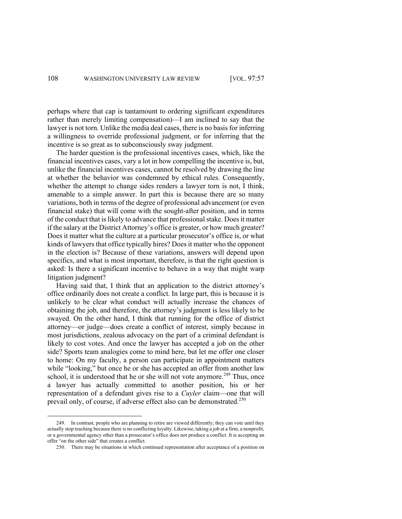perhaps where that cap is tantamount to ordering significant expenditures rather than merely limiting compensation)—I am inclined to say that the lawyer is not torn. Unlike the media deal cases, there is no basis for inferring a willingness to override professional judgment, or for inferring that the incentive is so great as to subconsciously sway judgment.

The harder question is the professional incentives cases, which, like the financial incentives cases, vary a lot in how compelling the incentive is, but, unlike the financial incentives cases, cannot be resolved by drawing the line at whether the behavior was condemned by ethical rules. Consequently, whether the attempt to change sides renders a lawyer torn is not, I think, amenable to a simple answer. In part this is because there are so many variations, both in terms of the degree of professional advancement (or even financial stake) that will come with the sought-after position, and in terms of the conduct that is likely to advance that professional stake. Does it matter if the salary at the District Attorney's office is greater, or how much greater? Does it matter what the culture at a particular prosecutor's office is, or what kinds of lawyers that office typically hires? Does it matter who the opponent in the election is? Because of these variations, answers will depend upon specifics, and what is most important, therefore, is that the right question is asked: Is there a significant incentive to behave in a way that might warp litigation judgment?

Having said that, I think that an application to the district attorney's office ordinarily does not create a conflict. In large part, this is because it is unlikely to be clear what conduct will actually increase the chances of obtaining the job, and therefore, the attorney's judgment is less likely to be swayed. On the other hand, I think that running for the office of district attorney—or judge—does create a conflict of interest, simply because in most jurisdictions, zealous advocacy on the part of a criminal defendant is likely to cost votes. And once the lawyer has accepted a job on the other side? Sports team analogies come to mind here, but let me offer one closer to home: On my faculty, a person can participate in appointment matters while "looking," but once he or she has accepted an offer from another law school, it is understood that he or she will not vote anymore.<sup>249</sup> Thus, once a lawyer has actually committed to another position, his or her representation of a defendant gives rise to a *Cuyler* claim—one that will prevail only, of course, if adverse effect also can be demonstrated.<sup>250</sup>

<sup>249.</sup> In contrast, people who are planning to retire are viewed differently; they can vote until they actually stop teaching because there is no conflicting loyalty. Likewise, taking a job at a firm, a nonprofit, or a governmental agency other than a prosecutor's office does not produce a conflict. It is accepting an offer "on the other side" that creates a conflict.

<sup>250.</sup> There may be situations in which continued representation after acceptance of a position on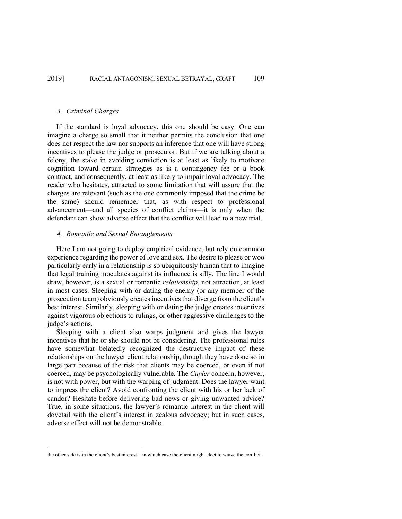#### *3. Criminal Charges*

If the standard is loyal advocacy, this one should be easy. One can imagine a charge so small that it neither permits the conclusion that one does not respect the law nor supports an inference that one will have strong incentives to please the judge or prosecutor. But if we are talking about a felony, the stake in avoiding conviction is at least as likely to motivate cognition toward certain strategies as is a contingency fee or a book contract, and consequently, at least as likely to impair loyal advocacy. The reader who hesitates, attracted to some limitation that will assure that the charges are relevant (such as the one commonly imposed that the crime be the same) should remember that, as with respect to professional advancement—and all species of conflict claims—it is only when the defendant can show adverse effect that the conflict will lead to a new trial.

# *4. Romantic and Sexual Entanglements*

Here I am not going to deploy empirical evidence, but rely on common experience regarding the power of love and sex. The desire to please or woo particularly early in a relationship is so ubiquitously human that to imagine that legal training inoculates against its influence is silly. The line I would draw, however, is a sexual or romantic *relationship*, not attraction, at least in most cases. Sleeping with or dating the enemy (or any member of the prosecution team) obviously creates incentives that diverge from the client's best interest. Similarly, sleeping with or dating the judge creates incentives against vigorous objections to rulings, or other aggressive challenges to the judge's actions.

Sleeping with a client also warps judgment and gives the lawyer incentives that he or she should not be considering. The professional rules have somewhat belatedly recognized the destructive impact of these relationships on the lawyer client relationship, though they have done so in large part because of the risk that clients may be coerced, or even if not coerced, may be psychologically vulnerable. The *Cuyler* concern, however, is not with power, but with the warping of judgment. Does the lawyer want to impress the client? Avoid confronting the client with his or her lack of candor? Hesitate before delivering bad news or giving unwanted advice? True, in some situations, the lawyer's romantic interest in the client will dovetail with the client's interest in zealous advocacy; but in such cases, adverse effect will not be demonstrable.

the other side is in the client's best interest—in which case the client might elect to waive the conflict.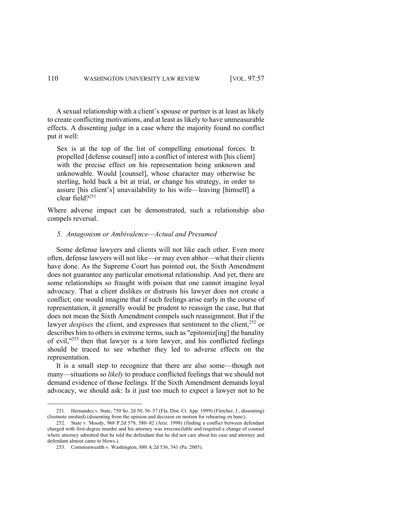A sexual relationship with a client's spouse or partner is at least as likely to create conflicting motivations, and at least as likely to have unmeasurable effects. A dissenting judge in a case where the majority found no conflict put it well:

Sex is at the top of the list of compelling emotional forces. It propelled [defense counsel] into a conflict of interest with [his client] with the precise effect on his representation being unknown and unknowable. Would [counsel], whose character may otherwise be sterling, hold back a bit at trial, or change his strategy, in order to assure [his client's] unavailability to his wife—leaving [himself] a clear field?<sup>251</sup>

Where adverse impact can be demonstrated, such a relationship also compels reversal.

#### *5. Antagonism or Ambivalence—Actual and Presumed*

Some defense lawyers and clients will not like each other. Even more often, defense lawyers will not like—or may even abhor—what their clients have done. As the Supreme Court has pointed out, the Sixth Amendment does not guarantee any particular emotional relationship. And yet, there are some relationships so fraught with poison that one cannot imagine loyal advocacy. That a client dislikes or distrusts his lawyer does not create a conflict; one would imagine that if such feelings arise early in the course of representation, it generally would be prudent to reassign the case, but that does not mean the Sixth Amendment compels such reassignment. But if the lawyer *despises* the client, and expresses that sentiment to the client,<sup>252</sup> or describes him to others in extreme terms, such as "epitomiz[ing] the banality of evil,"253 then that lawyer is a torn lawyer, and his conflicted feelings should be traced to see whether they led to adverse effects on the representation.

It is a small step to recognize that there are also some—though not many—situations so *likely* to produce conflicted feelings that we should not demand evidence of those feelings. If the Sixth Amendment demands loyal advocacy, we should ask: Is it just too much to expect a lawyer not to be

<sup>251.</sup> Hernandez v. State, 750 So. 2d 50, 56–57 (Fla. Dist. Ct. App. 1999) (Fletcher, J., dissenting) (footnote omitted) (dissenting from the opinion and decision on motion for rehearing en banc).

<sup>252.</sup> State v. Moody, 968 P.2d 578, 580–82 (Ariz. 1998) (finding a conflict between defendant charged with first-degree murder and his attorney was irreconcilable and required a change of counsel where attorney admitted that he told the defendant that he did not care about his case and attorney and defendant almost came to blows.).

<sup>253.</sup> Commonwealth v. Washington, 880 A.2d 536, 541 (Pa. 2005).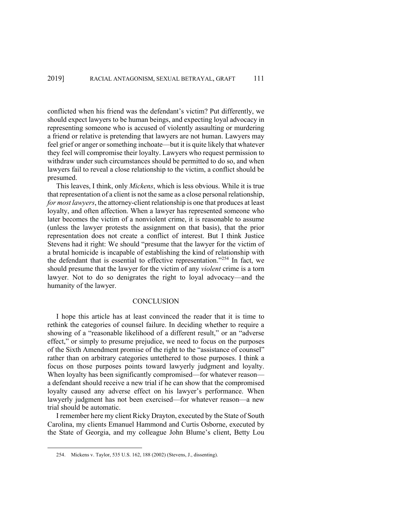conflicted when his friend was the defendant's victim? Put differently, we should expect lawyers to be human beings, and expecting loyal advocacy in representing someone who is accused of violently assaulting or murdering a friend or relative is pretending that lawyers are not human. Lawyers may feel grief or anger or something inchoate—but it is quite likely that whatever they feel will compromise their loyalty. Lawyers who request permission to withdraw under such circumstances should be permitted to do so, and when lawyers fail to reveal a close relationship to the victim, a conflict should be presumed.

This leaves, I think, only *Mickens*, which is less obvious. While it is true that representation of a client is not the same as a close personal relationship, *for most lawyers*, the attorney-client relationship is one that produces at least loyalty, and often affection. When a lawyer has represented someone who later becomes the victim of a nonviolent crime, it is reasonable to assume (unless the lawyer protests the assignment on that basis), that the prior representation does not create a conflict of interest. But I think Justice Stevens had it right: We should "presume that the lawyer for the victim of a brutal homicide is incapable of establishing the kind of relationship with the defendant that is essential to effective representation."<sup>254</sup> In fact, we should presume that the lawyer for the victim of any *violent* crime is a torn lawyer. Not to do so denigrates the right to loyal advocacy—and the humanity of the lawyer.

# **CONCLUSION**

I hope this article has at least convinced the reader that it is time to rethink the categories of counsel failure. In deciding whether to require a showing of a "reasonable likelihood of a different result," or an "adverse effect," or simply to presume prejudice, we need to focus on the purposes of the Sixth Amendment promise of the right to the "assistance of counsel" rather than on arbitrary categories untethered to those purposes. I think a focus on those purposes points toward lawyerly judgment and loyalty. When loyalty has been significantly compromised—for whatever reason a defendant should receive a new trial if he can show that the compromised loyalty caused any adverse effect on his lawyer's performance. When lawyerly judgment has not been exercised—for whatever reason—a new trial should be automatic.

I remember here my client Ricky Drayton, executed by the State of South Carolina, my clients Emanuel Hammond and Curtis Osborne, executed by the State of Georgia, and my colleague John Blume's client, Betty Lou

<sup>254.</sup> Mickens v. Taylor, 535 U.S. 162, 188 (2002) (Stevens, J., dissenting).